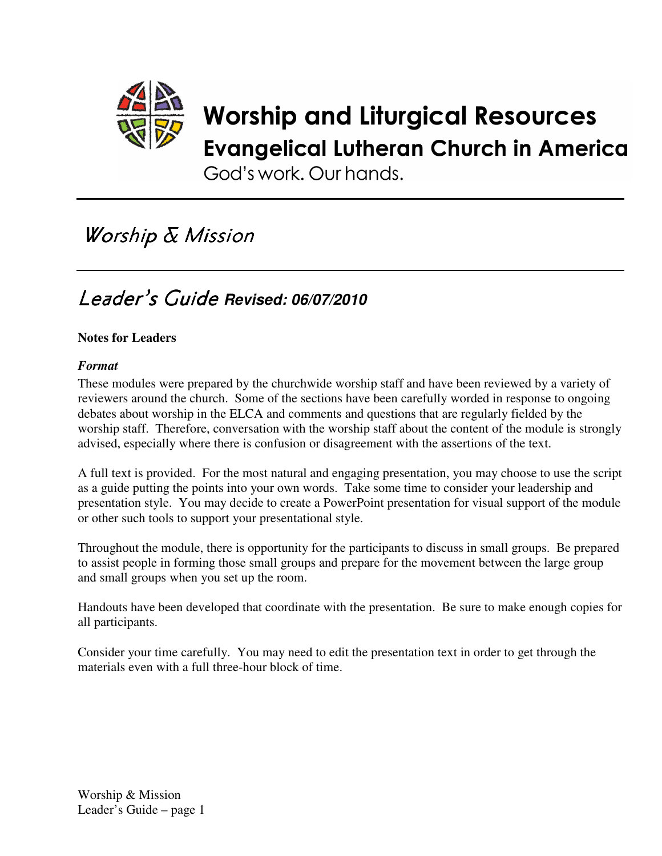

# **Worship and Liturgical Resources Evangelical Lutheran Church in America**

God's work, Our hands,

# Worship & Mission

# Leader's Guide *Revised: 06/07/2010*

#### **Notes for Leaders**

#### *Format*

These modules were prepared by the churchwide worship staff and have been reviewed by a variety of reviewers around the church. Some of the sections have been carefully worded in response to ongoing debates about worship in the ELCA and comments and questions that are regularly fielded by the worship staff. Therefore, conversation with the worship staff about the content of the module is strongly advised, especially where there is confusion or disagreement with the assertions of the text.

A full text is provided. For the most natural and engaging presentation, you may choose to use the script as a guide putting the points into your own words. Take some time to consider your leadership and presentation style. You may decide to create a PowerPoint presentation for visual support of the module or other such tools to support your presentational style.

Throughout the module, there is opportunity for the participants to discuss in small groups. Be prepared to assist people in forming those small groups and prepare for the movement between the large group and small groups when you set up the room.

Handouts have been developed that coordinate with the presentation. Be sure to make enough copies for all participants.

Consider your time carefully. You may need to edit the presentation text in order to get through the materials even with a full three-hour block of time.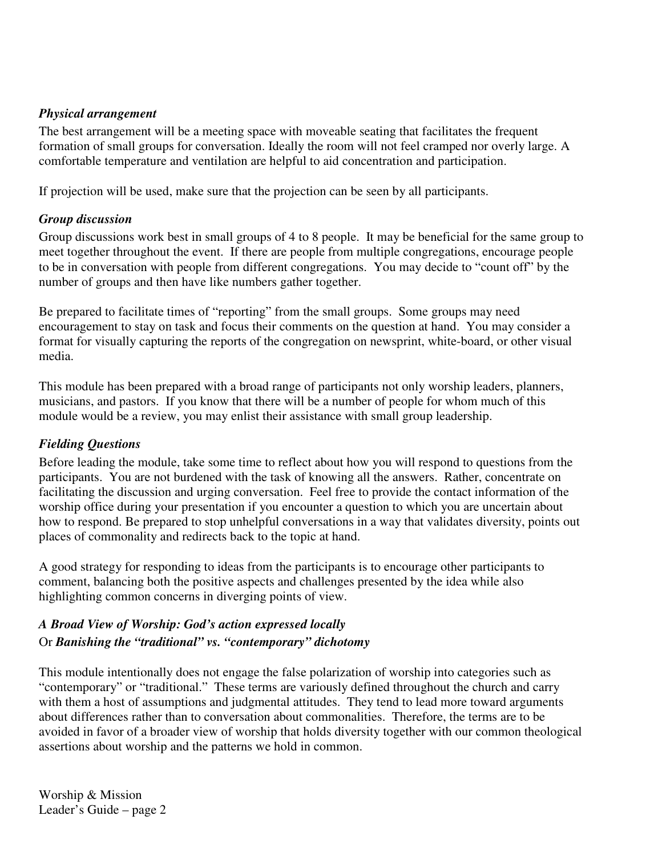#### *Physical arrangement*

The best arrangement will be a meeting space with moveable seating that facilitates the frequent formation of small groups for conversation. Ideally the room will not feel cramped nor overly large. A comfortable temperature and ventilation are helpful to aid concentration and participation.

If projection will be used, make sure that the projection can be seen by all participants.

#### *Group discussion*

Group discussions work best in small groups of 4 to 8 people. It may be beneficial for the same group to meet together throughout the event. If there are people from multiple congregations, encourage people to be in conversation with people from different congregations. You may decide to "count off" by the number of groups and then have like numbers gather together.

Be prepared to facilitate times of "reporting" from the small groups. Some groups may need encouragement to stay on task and focus their comments on the question at hand. You may consider a format for visually capturing the reports of the congregation on newsprint, white-board, or other visual media.

This module has been prepared with a broad range of participants not only worship leaders, planners, musicians, and pastors. If you know that there will be a number of people for whom much of this module would be a review, you may enlist their assistance with small group leadership.

#### *Fielding Questions*

Before leading the module, take some time to reflect about how you will respond to questions from the participants. You are not burdened with the task of knowing all the answers. Rather, concentrate on facilitating the discussion and urging conversation. Feel free to provide the contact information of the worship office during your presentation if you encounter a question to which you are uncertain about how to respond. Be prepared to stop unhelpful conversations in a way that validates diversity, points out places of commonality and redirects back to the topic at hand.

A good strategy for responding to ideas from the participants is to encourage other participants to comment, balancing both the positive aspects and challenges presented by the idea while also highlighting common concerns in diverging points of view.

#### *A Broad View of Worship: God's action expressed locally* Or *Banishing the "traditional" vs. "contemporary" dichotomy*

This module intentionally does not engage the false polarization of worship into categories such as "contemporary" or "traditional." These terms are variously defined throughout the church and carry with them a host of assumptions and judgmental attitudes. They tend to lead more toward arguments about differences rather than to conversation about commonalities. Therefore, the terms are to be avoided in favor of a broader view of worship that holds diversity together with our common theological assertions about worship and the patterns we hold in common.

Worship & Mission Leader's Guide – page 2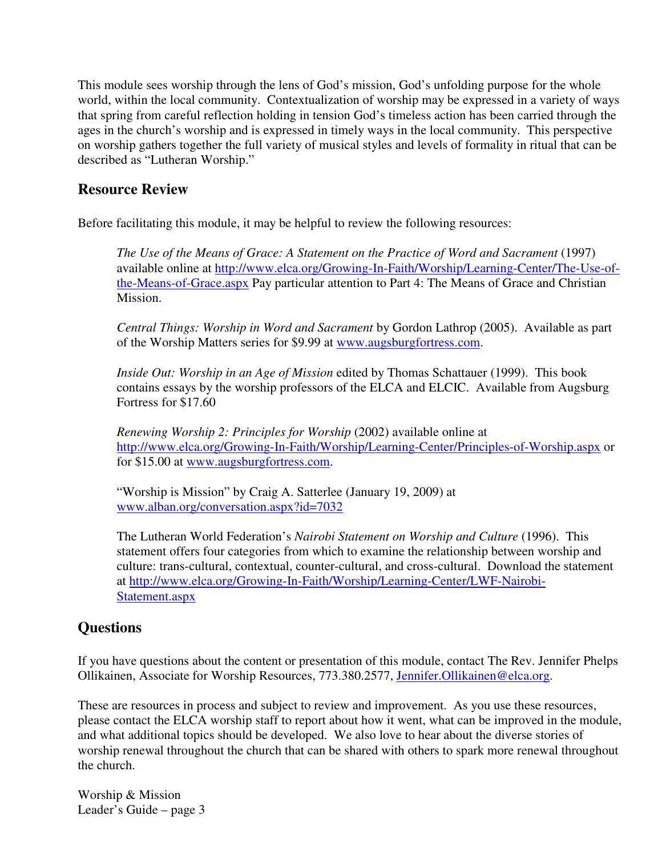This module sees worship through the lens of God's mission, God's unfolding purpose for the whole world, within the local community. Contextualization of worship may be expressed in a variety of ways that spring from careful reflection holding in tension God's timeless action has been carried through the ages in the church's worship and is expressed in timely ways in the local community. This perspective on worship gathers together the full variety of musical styles and levels of formality in ritual that can be described as "Lutheran Worship."

#### **Resource Review**

Before facilitating this module, it may be helpful to review the following resources:

*The Use of the Means of Grace: A Statement on the Practice of Word and Sacrament* (1997) available online at http://www.elca.org/Growing-In-Faith/Worship/Learning-Center/The-Use-ofthe-Means-of-Grace.aspx Pay particular attention to Part 4: The Means of Grace and Christian Mission.

*Central Things: Worship in Word and Sacrament* by Gordon Lathrop (2005). Available as part of the Worship Matters series for \$9.99 at www.augsburgfortress.com.

*Inside Out: Worship in an Age of Mission* edited by Thomas Schattauer (1999). This book contains essays by the worship professors of the ELCA and ELCIC. Available from Augsburg Fortress for \$17.60

*Renewing Worship 2: Principles for Worship* (2002) available online at http://www.elca.org/Growing-In-Faith/Worship/Learning-Center/Principles-of-Worship.aspx or for \$15.00 at www.augsburgfortress.com.

"Worship is Mission" by Craig A. Satterlee (January 19, 2009) at www.alban.org/conversation.aspx?id=7032

The Lutheran World Federation's *Nairobi Statement on Worship and Culture* (1996). This statement offers four categories from which to examine the relationship between worship and culture: trans-cultural, contextual, counter-cultural, and cross-cultural. Download the statement at http://www.elca.org/Growing-In-Faith/Worship/Learning-Center/LWF-Nairobi-Statement.aspx

#### **Questions**

If you have questions about the content or presentation of this module, contact The Rev. Jennifer Phelps Ollikainen, Associate for Worship Resources, 773.380.2577, Jennifer.Ollikainen@elca.org.

These are resources in process and subject to review and improvement. As you use these resources, please contact the ELCA worship staff to report about how it went, what can be improved in the module, and what additional topics should be developed. We also love to hear about the diverse stories of worship renewal throughout the church that can be shared with others to spark more renewal throughout the church.

Worship & Mission Leader's Guide – page 3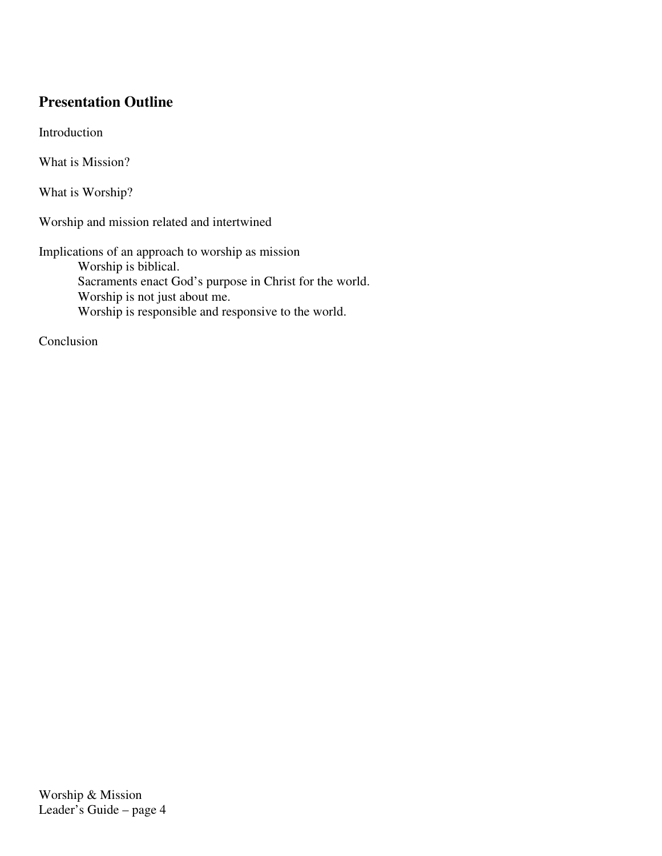#### **Presentation Outline**

Introduction

What is Mission?

What is Worship?

Worship and mission related and intertwined

Implications of an approach to worship as mission

Worship is biblical. Sacraments enact God's purpose in Christ for the world. Worship is not just about me. Worship is responsible and responsive to the world.

Conclusion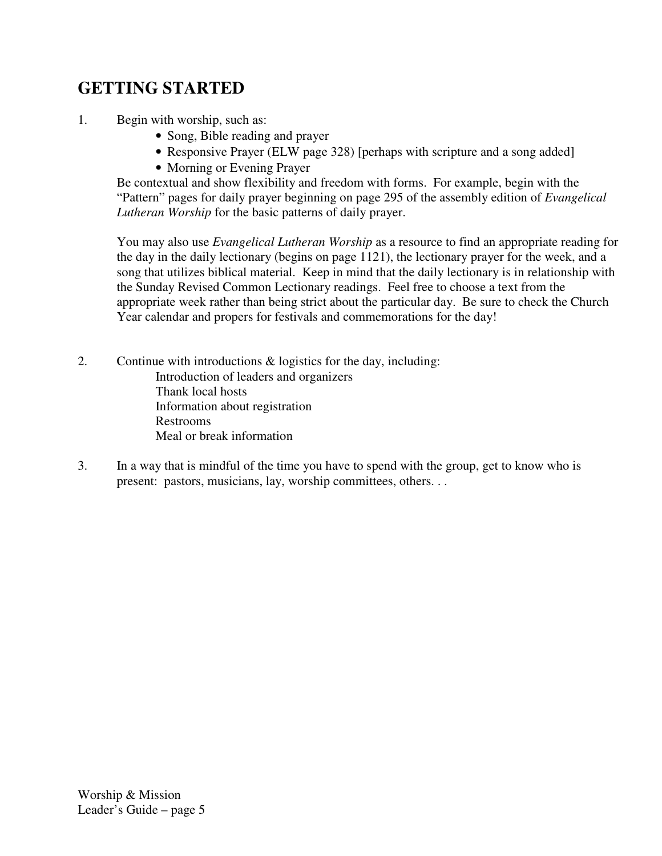## **GETTING STARTED**

- 1. Begin with worship, such as:
	- Song, Bible reading and prayer
	- Responsive Prayer (ELW page 328) [perhaps with scripture and a song added]
	- Morning or Evening Prayer

Be contextual and show flexibility and freedom with forms. For example, begin with the "Pattern" pages for daily prayer beginning on page 295 of the assembly edition of *Evangelical Lutheran Worship* for the basic patterns of daily prayer.

You may also use *Evangelical Lutheran Worship* as a resource to find an appropriate reading for the day in the daily lectionary (begins on page 1121), the lectionary prayer for the week, and a song that utilizes biblical material. Keep in mind that the daily lectionary is in relationship with the Sunday Revised Common Lectionary readings. Feel free to choose a text from the appropriate week rather than being strict about the particular day. Be sure to check the Church Year calendar and propers for festivals and commemorations for the day!

- 2. Continue with introductions & logistics for the day, including: Introduction of leaders and organizers Thank local hosts Information about registration Restrooms Meal or break information
- 3. In a way that is mindful of the time you have to spend with the group, get to know who is present: pastors, musicians, lay, worship committees, others. . .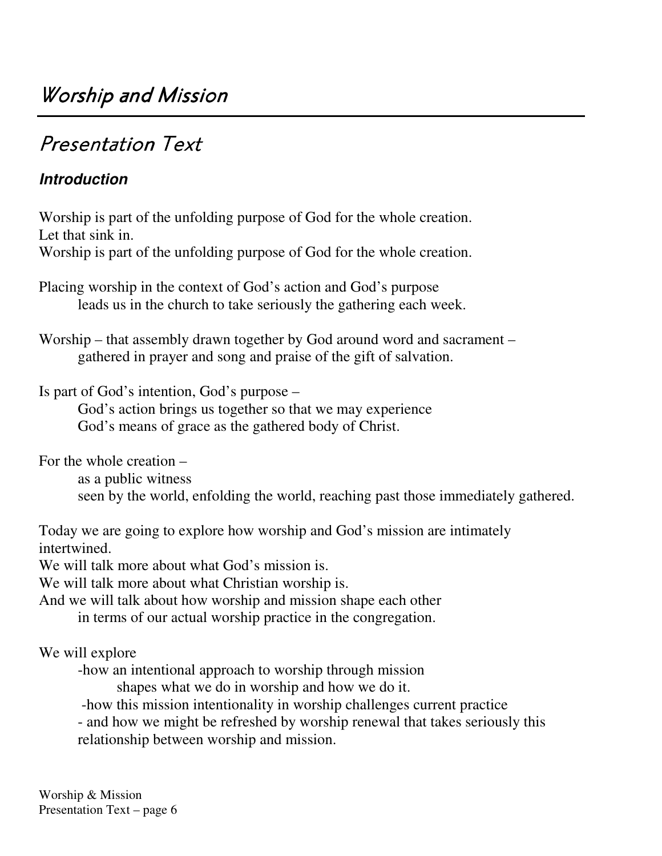# Presentation Text

## *Introduction*

Worship is part of the unfolding purpose of God for the whole creation. Let that sink in.

Worship is part of the unfolding purpose of God for the whole creation.

Placing worship in the context of God's action and God's purpose leads us in the church to take seriously the gathering each week.

Worship – that assembly drawn together by God around word and sacrament – gathered in prayer and song and praise of the gift of salvation.

Is part of God's intention, God's purpose –

God's action brings us together so that we may experience God's means of grace as the gathered body of Christ.

For the whole creation –

as a public witness seen by the world, enfolding the world, reaching past those immediately gathered.

Today we are going to explore how worship and God's mission are intimately intertwined.

We will talk more about what God's mission is.

We will talk more about what Christian worship is.

And we will talk about how worship and mission shape each other

in terms of our actual worship practice in the congregation.

We will explore

-how an intentional approach to worship through mission

shapes what we do in worship and how we do it.

-how this mission intentionality in worship challenges current practice

- and how we might be refreshed by worship renewal that takes seriously this relationship between worship and mission.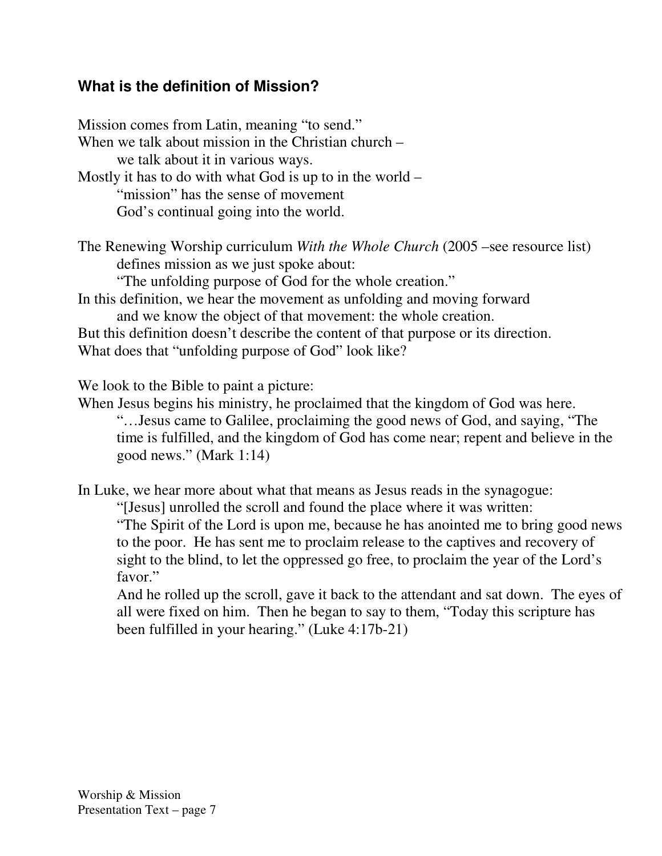### **What is the definition of Mission?**

Mission comes from Latin, meaning "to send." When we talk about mission in the Christian church – we talk about it in various ways. Mostly it has to do with what God is up to in the world – "mission" has the sense of movement God's continual going into the world. The Renewing Worship curriculum *With the Whole Church* (2005 –see resource list) defines mission as we just spoke about: "The unfolding purpose of God for the whole creation." In this definition, we hear the movement as unfolding and moving forward and we know the object of that movement: the whole creation. But this definition doesn't describe the content of that purpose or its direction. What does that "unfolding purpose of God" look like?

We look to the Bible to paint a picture:

When Jesus begins his ministry, he proclaimed that the kingdom of God was here. "…Jesus came to Galilee, proclaiming the good news of God, and saying, "The time is fulfilled, and the kingdom of God has come near; repent and believe in the good news." (Mark 1:14)

In Luke, we hear more about what that means as Jesus reads in the synagogue:

"[Jesus] unrolled the scroll and found the place where it was written: "The Spirit of the Lord is upon me, because he has anointed me to bring good news to the poor. He has sent me to proclaim release to the captives and recovery of sight to the blind, to let the oppressed go free, to proclaim the year of the Lord's favor."

And he rolled up the scroll, gave it back to the attendant and sat down. The eyes of all were fixed on him. Then he began to say to them, "Today this scripture has been fulfilled in your hearing." (Luke 4:17b-21)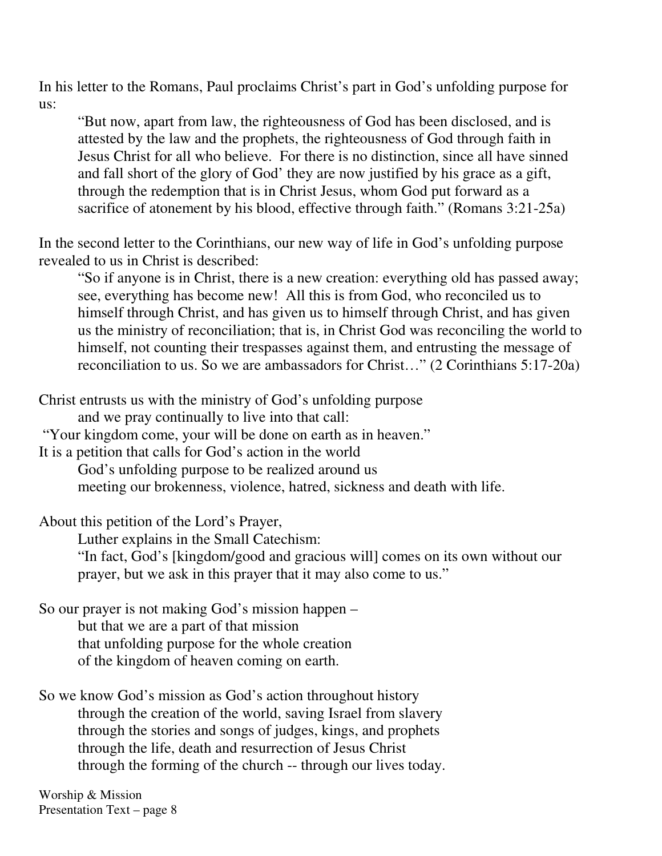In his letter to the Romans, Paul proclaims Christ's part in God's unfolding purpose for us:

"But now, apart from law, the righteousness of God has been disclosed, and is attested by the law and the prophets, the righteousness of God through faith in Jesus Christ for all who believe. For there is no distinction, since all have sinned and fall short of the glory of God' they are now justified by his grace as a gift, through the redemption that is in Christ Jesus, whom God put forward as a sacrifice of atonement by his blood, effective through faith." (Romans 3:21-25a)

In the second letter to the Corinthians, our new way of life in God's unfolding purpose revealed to us in Christ is described:

"So if anyone is in Christ, there is a new creation: everything old has passed away; see, everything has become new! All this is from God, who reconciled us to himself through Christ, and has given us to himself through Christ, and has given us the ministry of reconciliation; that is, in Christ God was reconciling the world to himself, not counting their trespasses against them, and entrusting the message of reconciliation to us. So we are ambassadors for Christ…" (2 Corinthians 5:17-20a)

Christ entrusts us with the ministry of God's unfolding purpose

and we pray continually to live into that call:

"Your kingdom come, your will be done on earth as in heaven."

It is a petition that calls for God's action in the world

God's unfolding purpose to be realized around us

meeting our brokenness, violence, hatred, sickness and death with life.

About this petition of the Lord's Prayer,

Luther explains in the Small Catechism:

"In fact, God's [kingdom/good and gracious will] comes on its own without our prayer, but we ask in this prayer that it may also come to us."

So our prayer is not making God's mission happen – but that we are a part of that mission that unfolding purpose for the whole creation of the kingdom of heaven coming on earth.

So we know God's mission as God's action throughout history through the creation of the world, saving Israel from slavery through the stories and songs of judges, kings, and prophets through the life, death and resurrection of Jesus Christ through the forming of the church -- through our lives today.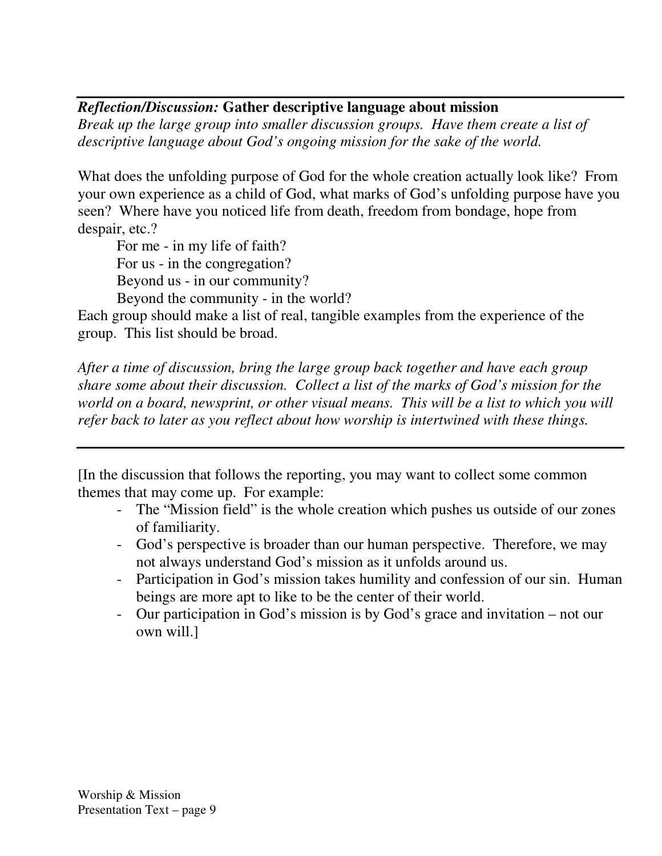#### *Reflection/Discussion:* **Gather descriptive language about mission**

*Break up the large group into smaller discussion groups. Have them create a list of descriptive language about God's ongoing mission for the sake of the world.*

What does the unfolding purpose of God for the whole creation actually look like? From your own experience as a child of God, what marks of God's unfolding purpose have you seen? Where have you noticed life from death, freedom from bondage, hope from despair, etc.?

For me - in my life of faith? For us - in the congregation? Beyond us - in our community?

Beyond the community - in the world? Each group should make a list of real, tangible examples from the experience of the group. This list should be broad.

*After a time of discussion, bring the large group back together and have each group share some about their discussion. Collect a list of the marks of God's mission for the world on a board, newsprint, or other visual means. This will be a list to which you will refer back to later as you reflect about how worship is intertwined with these things.*

[In the discussion that follows the reporting, you may want to collect some common themes that may come up. For example:

- The "Mission field" is the whole creation which pushes us outside of our zones of familiarity.
- God's perspective is broader than our human perspective. Therefore, we may not always understand God's mission as it unfolds around us.
- Participation in God's mission takes humility and confession of our sin. Human beings are more apt to like to be the center of their world.
- Our participation in God's mission is by God's grace and invitation not our own will.]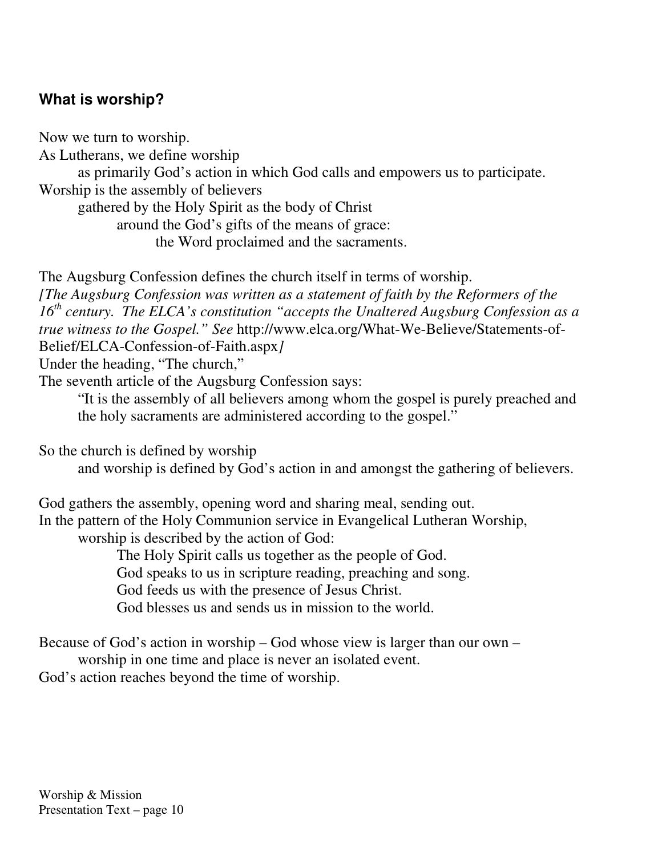## **What is worship?**

Now we turn to worship. As Lutherans, we define worship as primarily God's action in which God calls and empowers us to participate. Worship is the assembly of believers gathered by the Holy Spirit as the body of Christ around the God's gifts of the means of grace:

the Word proclaimed and the sacraments.

The Augsburg Confession defines the church itself in terms of worship. *[The Augsburg Confession was written as a statement of faith by the Reformers of the 16 th century. The ELCA's constitution "accepts the Unaltered Augsburg Confession as a true witness to the Gospel." See* http://www.elca.org/What-We-Believe/Statements-of-Belief/ELCA-Confession-of-Faith.aspx*]*

Under the heading, "The church,"

The seventh article of the Augsburg Confession says:

"It is the assembly of all believers among whom the gospel is purely preached and the holy sacraments are administered according to the gospel."

So the church is defined by worship

and worship is defined by God's action in and amongst the gathering of believers.

God gathers the assembly, opening word and sharing meal, sending out. In the pattern of the Holy Communion service in Evangelical Lutheran Worship, worship is described by the action of God:

The Holy Spirit calls us together as the people of God.

God speaks to us in scripture reading, preaching and song.

God feeds us with the presence of Jesus Christ.

God blesses us and sends us in mission to the world.

Because of God's action in worship – God whose view is larger than our own –

worship in one time and place is never an isolated event.

God's action reaches beyond the time of worship.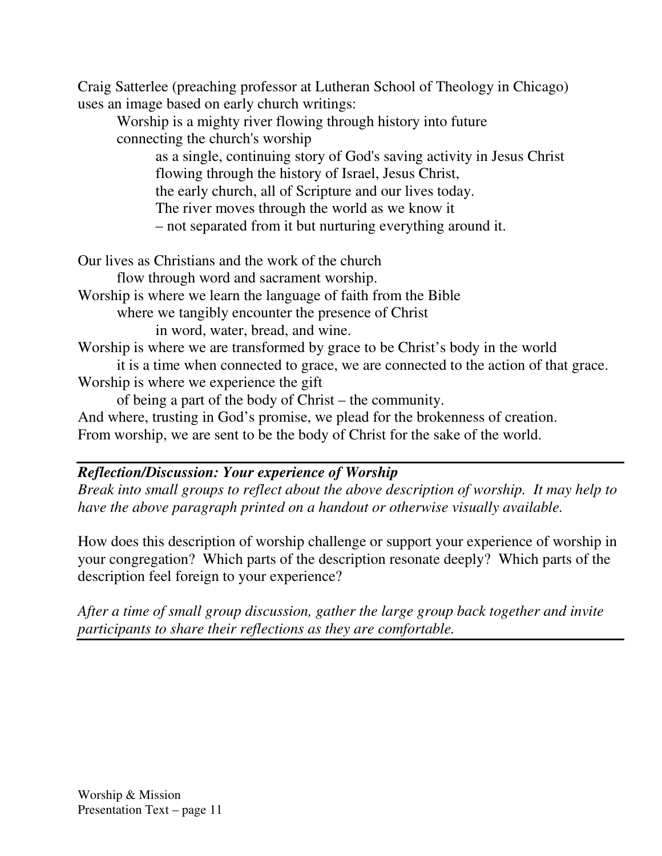Craig Satterlee (preaching professor at Lutheran School of Theology in Chicago) uses an image based on early church writings:

Worship is a mighty river flowing through history into future connecting the church's worship

as a single, continuing story of God's saving activity in Jesus Christ flowing through the history of Israel, Jesus Christ,

the early church, all of Scripture and our lives today.

The river moves through the world as we know it

– not separated from it but nurturing everything around it.

Our lives as Christians and the work of the church

flow through word and sacrament worship.

Worship is where we learn the language of faith from the Bible

where we tangibly encounter the presence of Christ

in word, water, bread, and wine.

Worship is where we are transformed by grace to be Christ's body in the world

it is a time when connected to grace, we are connected to the action of that grace. Worship is where we experience the gift

of being a part of the body of Christ – the community.

And where, trusting in God's promise, we plead for the brokenness of creation.

From worship, we are sent to be the body of Christ for the sake of the world.

### *Reflection/Discussion: Your experience of Worship*

*Break into small groups to reflect about the above description of worship. It may help to have the above paragraph printed on a handout or otherwise visually available.*

How does this description of worship challenge or support your experience of worship in your congregation? Which parts of the description resonate deeply? Which parts of the description feel foreign to your experience?

*After a time of small group discussion, gather the large group back together and invite participants to share their reflections as they are comfortable.*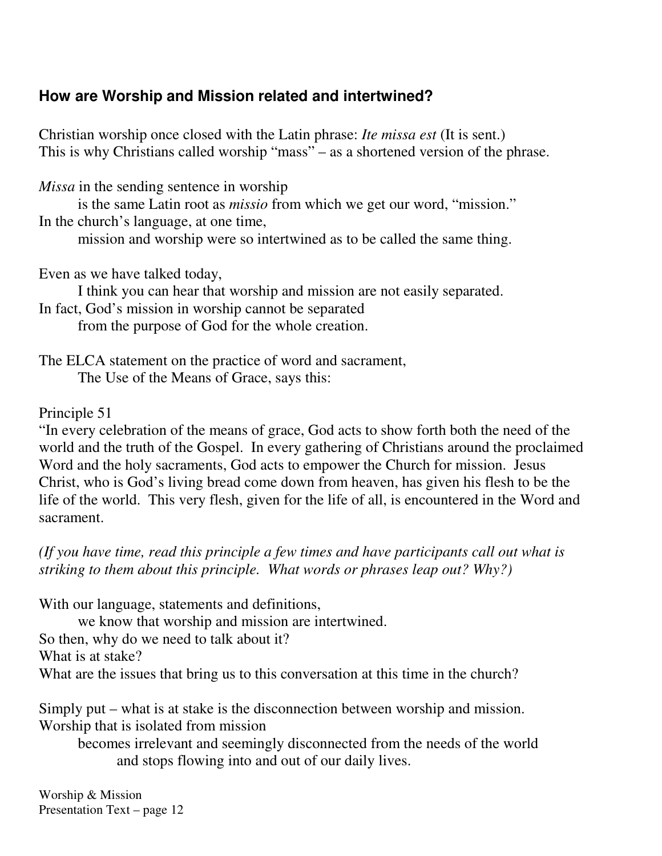## **How are Worship and Mission related and intertwined?**

Christian worship once closed with the Latin phrase: *Ite missa est* (It is sent.) This is why Christians called worship "mass" – as a shortened version of the phrase.

*Missa* in the sending sentence in worship

is the same Latin root as *missio* from which we get our word, "mission." In the church's language, at one time,

mission and worship were so intertwined as to be called the same thing.

Even as we have talked today,

I think you can hear that worship and mission are not easily separated. In fact, God's mission in worship cannot be separated

from the purpose of God for the whole creation.

The ELCA statement on the practice of word and sacrament, The Use of the Means of Grace, says this:

#### Principle 51

"In every celebration of the means of grace, God acts to show forth both the need of the world and the truth of the Gospel. In every gathering of Christians around the proclaimed Word and the holy sacraments, God acts to empower the Church for mission. Jesus Christ, who is God's living bread come down from heaven, has given his flesh to be the life of the world. This very flesh, given for the life of all, is encountered in the Word and sacrament.

*(If you have time, read this principle a few times and have participants call out what is striking to them about this principle. What words or phrases leap out? Why?)*

With our language, statements and definitions,

we know that worship and mission are intertwined.

So then, why do we need to talk about it?

What is at stake?

What are the issues that bring us to this conversation at this time in the church?

Simply put – what is at stake is the disconnection between worship and mission. Worship that is isolated from mission

becomes irrelevant and seemingly disconnected from the needs of the world and stops flowing into and out of our daily lives.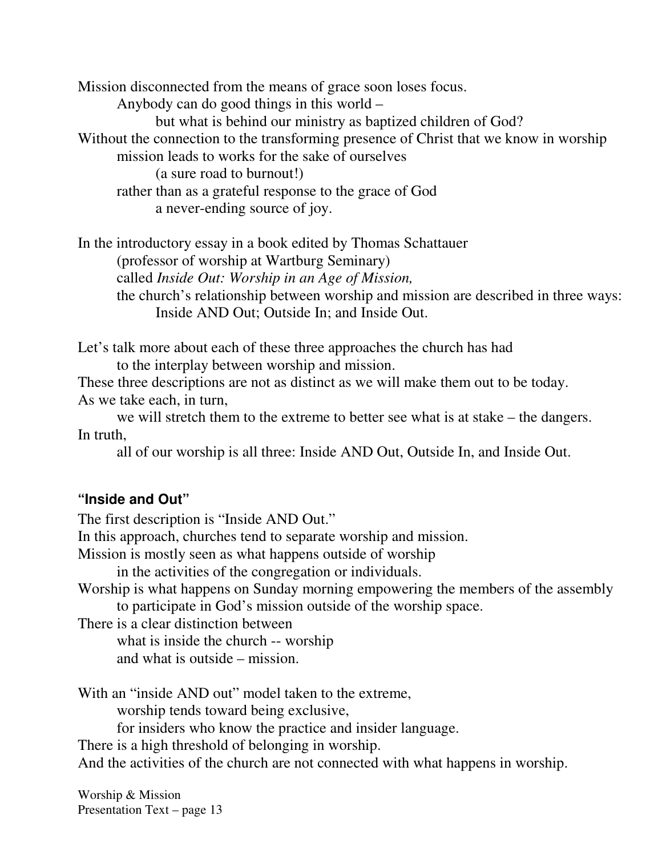Mission disconnected from the means of grace soon loses focus. Anybody can do good things in this world – but what is behind our ministry as baptized children of God? Without the connection to the transforming presence of Christ that we know in worship mission leads to works for the sake of ourselves (a sure road to burnout!) rather than as a grateful response to the grace of God a never-ending source of joy.

In the introductory essay in a book edited by Thomas Schattauer (professor of worship at Wartburg Seminary) called *Inside Out: Worship in an Age of Mission,* the church's relationship between worship and mission are described in three ways: Inside AND Out; Outside In; and Inside Out.

Let's talk more about each of these three approaches the church has had to the interplay between worship and mission.

These three descriptions are not as distinct as we will make them out to be today. As we take each, in turn,

we will stretch them to the extreme to better see what is at stake – the dangers. In truth,

all of our worship is all three: Inside AND Out, Outside In, and Inside Out.

#### **"Inside and Out"**

The first description is "Inside AND Out." In this approach, churches tend to separate worship and mission. Mission is mostly seen as what happens outside of worship in the activities of the congregation or individuals. Worship is what happens on Sunday morning empowering the members of the assembly to participate in God's mission outside of the worship space. There is a clear distinction between what is inside the church -- worship and what is outside – mission. With an "inside AND out" model taken to the extreme, worship tends toward being exclusive, for insiders who know the practice and insider language. There is a high threshold of belonging in worship. And the activities of the church are not connected with what happens in worship.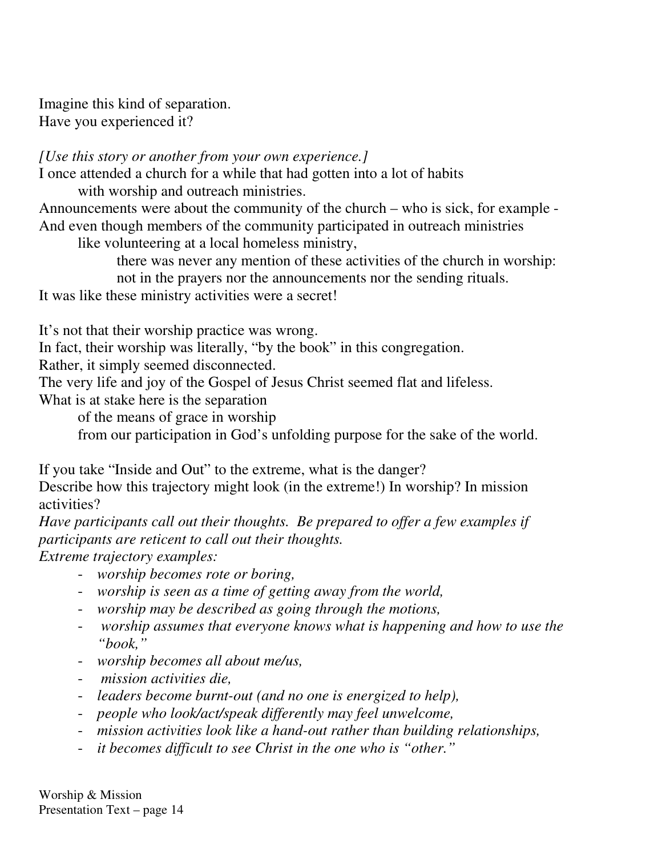Imagine this kind of separation. Have you experienced it?

*[Use this story or another from your own experience.]* I once attended a church for a while that had gotten into a lot of habits

with worship and outreach ministries.

Announcements were about the community of the church – who is sick, for example - And even though members of the community participated in outreach ministries

like volunteering at a local homeless ministry,

there was never any mention of these activities of the church in worship: not in the prayers nor the announcements nor the sending rituals.

It was like these ministry activities were a secret!

It's not that their worship practice was wrong.

In fact, their worship was literally, "by the book" in this congregation.

Rather, it simply seemed disconnected.

The very life and joy of the Gospel of Jesus Christ seemed flat and lifeless.

What is at stake here is the separation

of the means of grace in worship

from our participation in God's unfolding purpose for the sake of the world.

If you take "Inside and Out" to the extreme, what is the danger?

Describe how this trajectory might look (in the extreme!) In worship? In mission activities?

*Have participants call out their thoughts. Be prepared to offer a few examples if participants are reticent to call out their thoughts.*

*Extreme trajectory examples:*

- *worship becomes rote or boring,*
- *worship is seen as a time of getting away from the world,*
- *worship may be described as going through the motions,*
- *worship assumes that everyone knows what is happening and how to use the "book,"*
- *worship becomes all about me/us,*
- *mission activities die,*
- *leaders become burnt-out (and no one is energized to help),*
- *people who look/act/speak differently may feel unwelcome,*
- *mission activities look like a hand-out rather than building relationships,*
- *it becomes difficult to see Christ in the one who is "other."*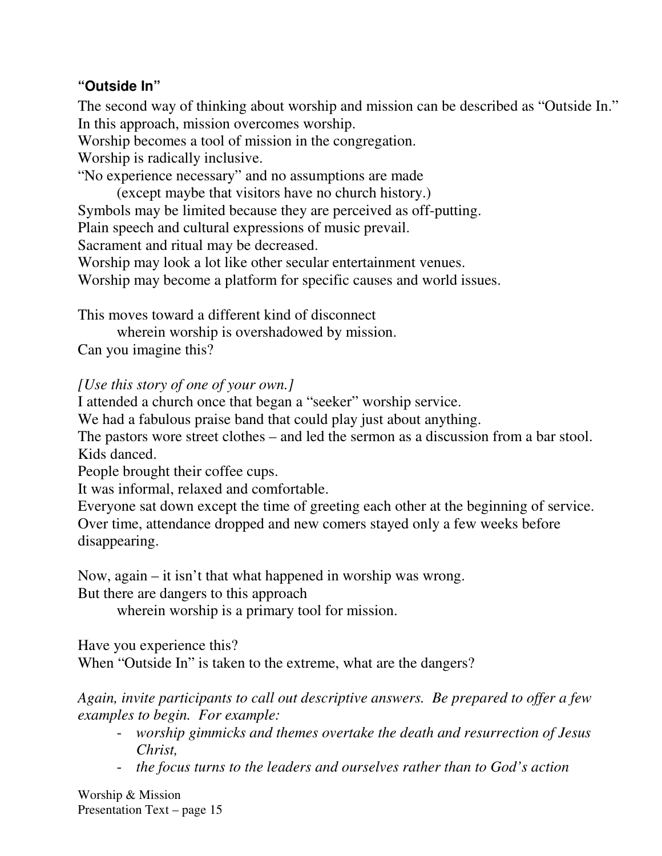### **"Outside In"**

The second way of thinking about worship and mission can be described as "Outside In." In this approach, mission overcomes worship.

Worship becomes a tool of mission in the congregation.

Worship is radically inclusive.

"No experience necessary" and no assumptions are made

(except maybe that visitors have no church history.) Symbols may be limited because they are perceived as off-putting.

Plain speech and cultural expressions of music prevail.

Sacrament and ritual may be decreased.

Worship may look a lot like other secular entertainment venues.

Worship may become a platform for specific causes and world issues.

This moves toward a different kind of disconnect

wherein worship is overshadowed by mission.

Can you imagine this?

### *[Use this story of one of your own.]*

I attended a church once that began a "seeker" worship service.

We had a fabulous praise band that could play just about anything.

The pastors wore street clothes – and led the sermon as a discussion from a bar stool. Kids danced.

People brought their coffee cups.

It was informal, relaxed and comfortable.

Everyone sat down except the time of greeting each other at the beginning of service. Over time, attendance dropped and new comers stayed only a few weeks before disappearing.

Now, again – it isn't that what happened in worship was wrong.

But there are dangers to this approach

wherein worship is a primary tool for mission.

Have you experience this?

When "Outside In" is taken to the extreme, what are the dangers?

*Again, invite participants to call out descriptive answers. Be prepared to offer a few examples to begin. For example:*

- *worship gimmicks and themes overtake the death and resurrection of Jesus Christ,*
- *the focus turns to the leaders and ourselves rather than to God's action*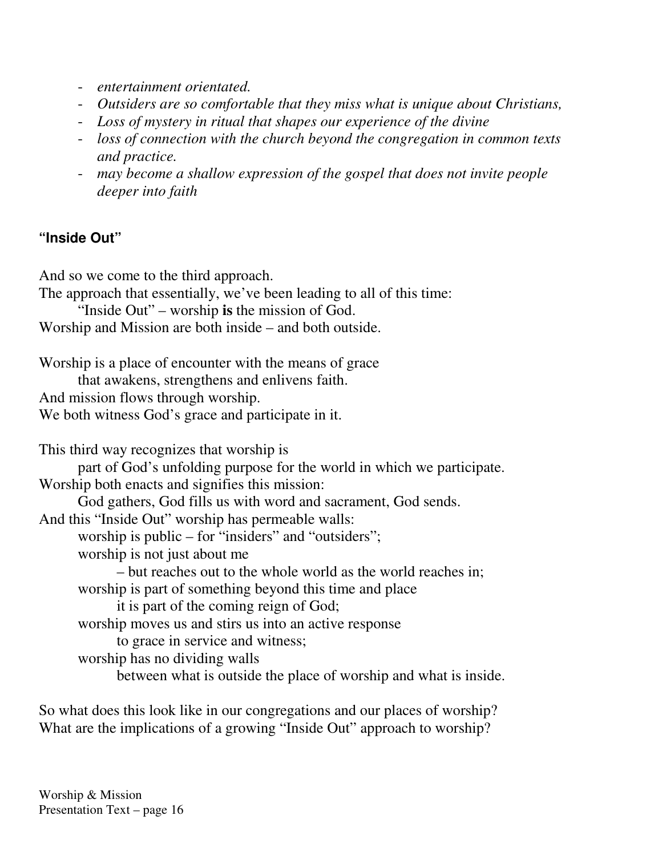- *entertainment orientated.*
- *Outsiders are so comfortable that they miss what is unique about Christians,*
- *Loss of mystery in ritual that shapes our experience of the divine*
- *loss of connection with the church beyond the congregation in common texts and practice.*
- *may become a shallow expression of the gospel that does not invite people deeper into faith*

### **"Inside Out"**

And so we come to the third approach.

The approach that essentially, we've been leading to all of this time:

"Inside Out" – worship **is** the mission of God.

Worship and Mission are both inside – and both outside.

Worship is a place of encounter with the means of grace that awakens, strengthens and enlivens faith. And mission flows through worship. We both witness God's grace and participate in it.

This third way recognizes that worship is part of God's unfolding purpose for the world in which we participate. Worship both enacts and signifies this mission: God gathers, God fills us with word and sacrament, God sends. And this "Inside Out" worship has permeable walls: worship is public – for "insiders" and "outsiders"; worship is not just about me – but reaches out to the whole world as the world reaches in; worship is part of something beyond this time and place it is part of the coming reign of God; worship moves us and stirs us into an active response to grace in service and witness; worship has no dividing walls between what is outside the place of worship and what is inside.

So what does this look like in our congregations and our places of worship? What are the implications of a growing "Inside Out" approach to worship?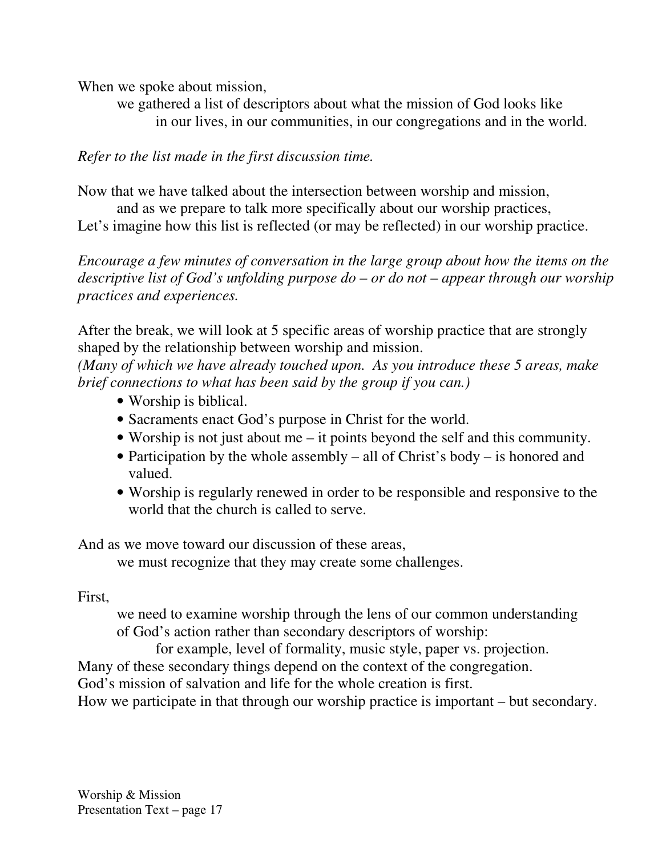When we spoke about mission,

we gathered a list of descriptors about what the mission of God looks like in our lives, in our communities, in our congregations and in the world.

#### *Refer to the list made in the first discussion time.*

Now that we have talked about the intersection between worship and mission,

and as we prepare to talk more specifically about our worship practices,

Let's imagine how this list is reflected (or may be reflected) in our worship practice.

*Encourage a few minutes of conversation in the large group about how the items on the descriptive list of God's unfolding purpose do – or do not – appear through our worship practices and experiences.*

After the break, we will look at 5 specific areas of worship practice that are strongly shaped by the relationship between worship and mission.

*(Many of which we have already touched upon. As you introduce these 5 areas, make brief connections to what has been said by the group if you can.)*

- Worship is biblical.
- Sacraments enact God's purpose in Christ for the world.
- Worship is not just about me it points beyond the self and this community.
- Participation by the whole assembly all of Christ's body is honored and valued.
- Worship is regularly renewed in order to be responsible and responsive to the world that the church is called to serve.

And as we move toward our discussion of these areas,

we must recognize that they may create some challenges.

#### First,

we need to examine worship through the lens of our common understanding of God's action rather than secondary descriptors of worship:

for example, level of formality, music style, paper vs. projection.

Many of these secondary things depend on the context of the congregation.

God's mission of salvation and life for the whole creation is first.

How we participate in that through our worship practice is important – but secondary.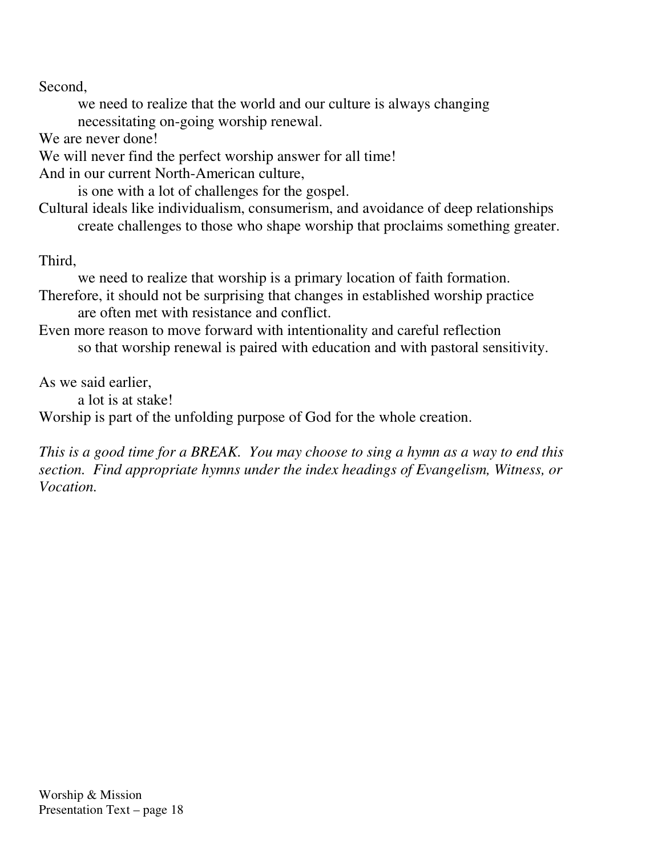Second,

we need to realize that the world and our culture is always changing necessitating on-going worship renewal.

We are never done!

We will never find the perfect worship answer for all time!

And in our current North-American culture,

is one with a lot of challenges for the gospel.

Cultural ideals like individualism, consumerism, and avoidance of deep relationships create challenges to those who shape worship that proclaims something greater.

Third,

we need to realize that worship is a primary location of faith formation.

Therefore, it should not be surprising that changes in established worship practice are often met with resistance and conflict.

Even more reason to move forward with intentionality and careful reflection so that worship renewal is paired with education and with pastoral sensitivity.

As we said earlier,

a lot is at stake!

Worship is part of the unfolding purpose of God for the whole creation.

This is a good time for a BREAK. You may choose to sing a hymn as a way to end this *section. Find appropriate hymns under the index headings of Evangelism, Witness, or Vocation.*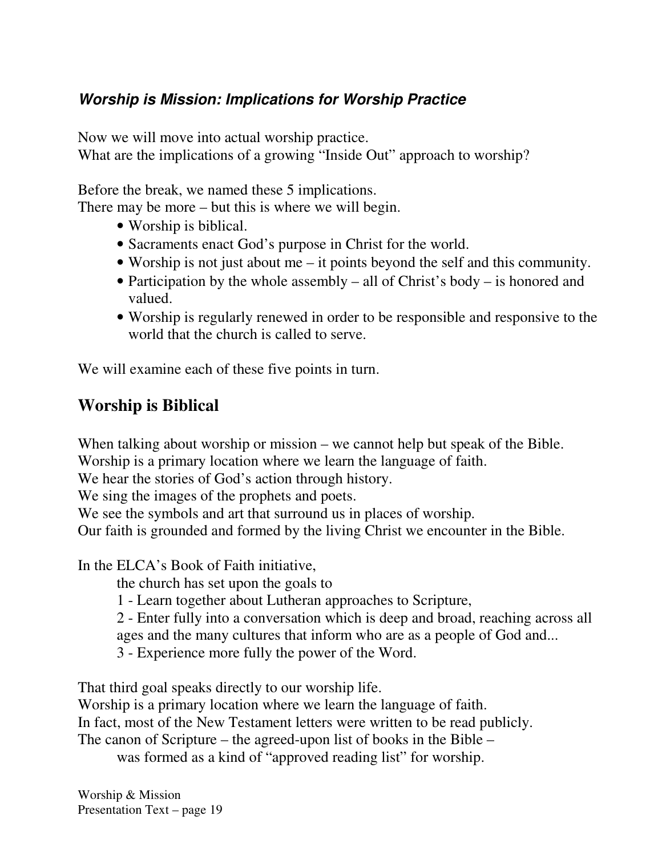## *Worship is Mission: Implications for Worship Practice*

Now we will move into actual worship practice.

What are the implications of a growing "Inside Out" approach to worship?

Before the break, we named these 5 implications.

There may be more – but this is where we will begin.

- Worship is biblical.
- Sacraments enact God's purpose in Christ for the world.
- Worship is not just about me it points beyond the self and this community.
- Participation by the whole assembly all of Christ's body is honored and valued.
- Worship is regularly renewed in order to be responsible and responsive to the world that the church is called to serve.

We will examine each of these five points in turn.

## **Worship is Biblical**

When talking about worship or mission – we cannot help but speak of the Bible. Worship is a primary location where we learn the language of faith.

We hear the stories of God's action through history.

We sing the images of the prophets and poets.

We see the symbols and art that surround us in places of worship.

Our faith is grounded and formed by the living Christ we encounter in the Bible.

In the ELCA's Book of Faith initiative,

the church has set upon the goals to

- 1 Learn together about Lutheran approaches to Scripture,
- 2 Enter fully into a conversation which is deep and broad, reaching across all ages and the many cultures that inform who are as a people of God and...
- 3 Experience more fully the power of the Word.

That third goal speaks directly to our worship life.

Worship is a primary location where we learn the language of faith.

In fact, most of the New Testament letters were written to be read publicly.

The canon of Scripture – the agreed-upon list of books in the Bible –

was formed as a kind of "approved reading list" for worship.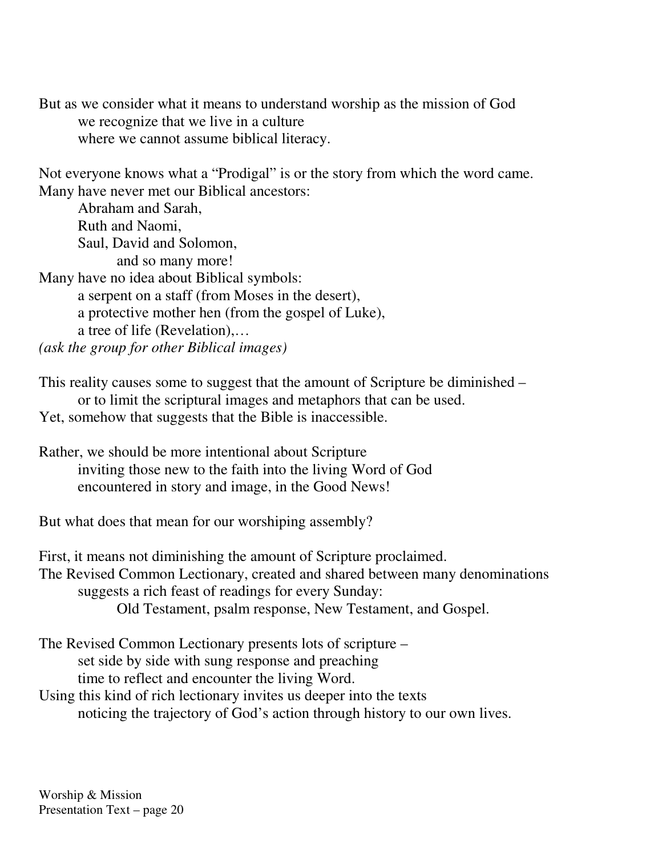But as we consider what it means to understand worship as the mission of God we recognize that we live in a culture where we cannot assume biblical literacy.

Not everyone knows what a "Prodigal" is or the story from which the word came. Many have never met our Biblical ancestors:

Abraham and Sarah, Ruth and Naomi, Saul, David and Solomon,

and so many more!

Many have no idea about Biblical symbols:

a serpent on a staff (from Moses in the desert), a protective mother hen (from the gospel of Luke), a tree of life (Revelation),…

*(ask the group for other Biblical images)*

This reality causes some to suggest that the amount of Scripture be diminished – or to limit the scriptural images and metaphors that can be used. Yet, somehow that suggests that the Bible is inaccessible.

Rather, we should be more intentional about Scripture inviting those new to the faith into the living Word of God encountered in story and image, in the Good News!

But what does that mean for our worshiping assembly?

First, it means not diminishing the amount of Scripture proclaimed. The Revised Common Lectionary, created and shared between many denominations suggests a rich feast of readings for every Sunday: Old Testament, psalm response, New Testament, and Gospel.

The Revised Common Lectionary presents lots of scripture – set side by side with sung response and preaching time to reflect and encounter the living Word. Using this kind of rich lectionary invites us deeper into the texts

noticing the trajectory of God's action through history to our own lives.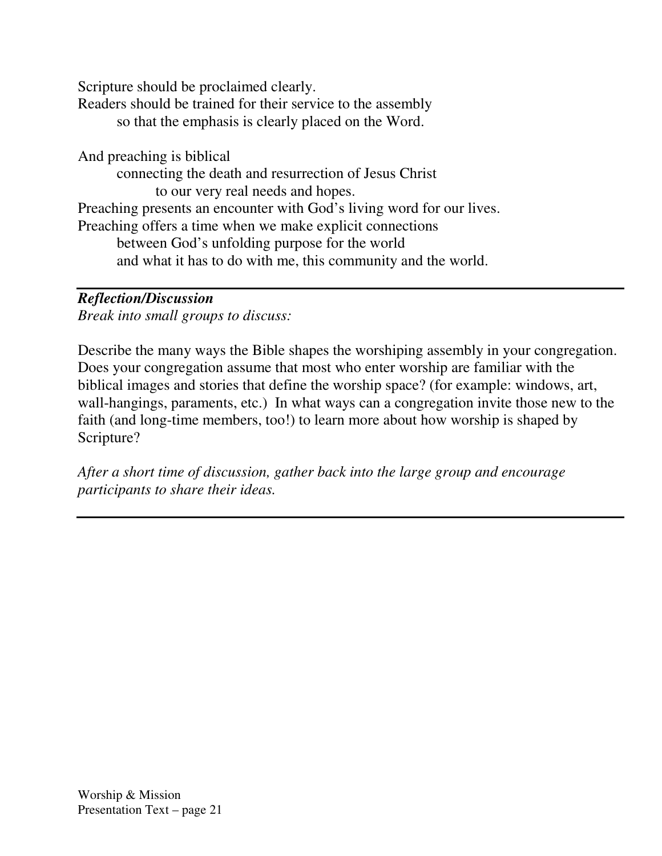Scripture should be proclaimed clearly.

Readers should be trained for their service to the assembly so that the emphasis is clearly placed on the Word.

And preaching is biblical

connecting the death and resurrection of Jesus Christ to our very real needs and hopes. Preaching presents an encounter with God's living word for our lives. Preaching offers a time when we make explicit connections between God's unfolding purpose for the world and what it has to do with me, this community and the world.

#### *Reflection/Discussion*

*Break into small groups to discuss:*

Describe the many ways the Bible shapes the worshiping assembly in your congregation. Does your congregation assume that most who enter worship are familiar with the biblical images and stories that define the worship space? (for example: windows, art, wall-hangings, paraments, etc.) In what ways can a congregation invite those new to the faith (and long-time members, too!) to learn more about how worship is shaped by Scripture?

*After a short time of discussion, gather back into the large group and encourage participants to share their ideas.*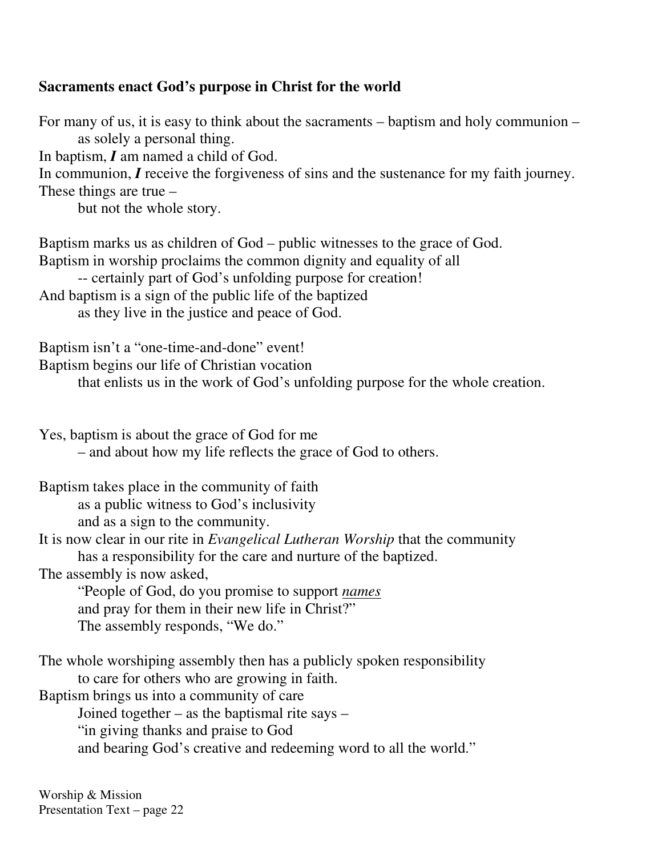#### **Sacraments enact God's purpose in Christ for the world**

For many of us, it is easy to think about the sacraments – baptism and holy communion – as solely a personal thing. In baptism, *I* am named a child of God. In communion, *I* receive the forgiveness of sins and the sustenance for my faith journey. These things are true – but not the whole story. Baptism marks us as children of God – public witnesses to the grace of God. Baptism in worship proclaims the common dignity and equality of all -- certainly part of God's unfolding purpose for creation! And baptism is a sign of the public life of the baptized as they live in the justice and peace of God. Baptism isn't a "one-time-and-done" event! Baptism begins our life of Christian vocation that enlists us in the work of God's unfolding purpose for the whole creation. Yes, baptism is about the grace of God for me – and about how my life reflects the grace of God to others. Baptism takes place in the community of faith as a public witness to God's inclusivity and as a sign to the community. It is now clear in our rite in *Evangelical Lutheran Worship* that the community has a responsibility for the care and nurture of the baptized. The assembly is now asked, "People of God, do you promise to support *names* and pray for them in their new life in Christ?" The assembly responds, "We do." The whole worshiping assembly then has a publicly spoken responsibility

to care for others who are growing in faith.

Baptism brings us into a community of care

Joined together – as the baptismal rite says –

"in giving thanks and praise to God

and bearing God's creative and redeeming word to all the world."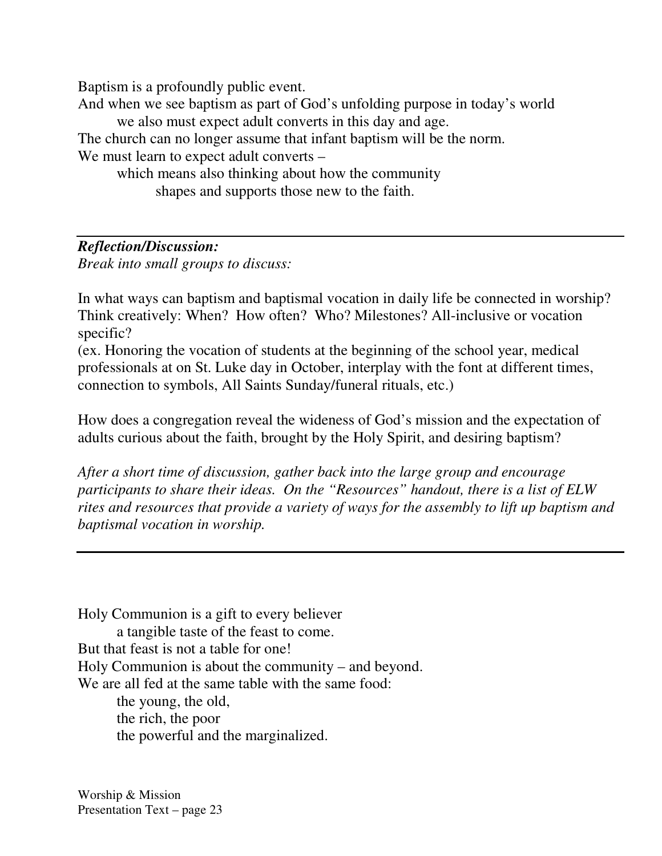Baptism is a profoundly public event.

And when we see baptism as part of God's unfolding purpose in today's world we also must expect adult converts in this day and age.

The church can no longer assume that infant baptism will be the norm. We must learn to expect adult converts –

which means also thinking about how the community shapes and supports those new to the faith.

### *Reflection/Discussion:*

*Break into small groups to discuss:*

In what ways can baptism and baptismal vocation in daily life be connected in worship? Think creatively: When? How often? Who? Milestones? All-inclusive or vocation specific?

(ex. Honoring the vocation of students at the beginning of the school year, medical professionals at on St. Luke day in October, interplay with the font at different times, connection to symbols, All Saints Sunday/funeral rituals, etc.)

How does a congregation reveal the wideness of God's mission and the expectation of adults curious about the faith, brought by the Holy Spirit, and desiring baptism?

*After a short time of discussion, gather back into the large group and encourage participants to share their ideas. On the "Resources" handout, there is a list of ELW rites and resources that provide a variety of ways for the assembly to lift up baptism and baptismal vocation in worship.*

Holy Communion is a gift to every believer a tangible taste of the feast to come. But that feast is not a table for one! Holy Communion is about the community – and beyond. We are all fed at the same table with the same food: the young, the old, the rich, the poor the powerful and the marginalized.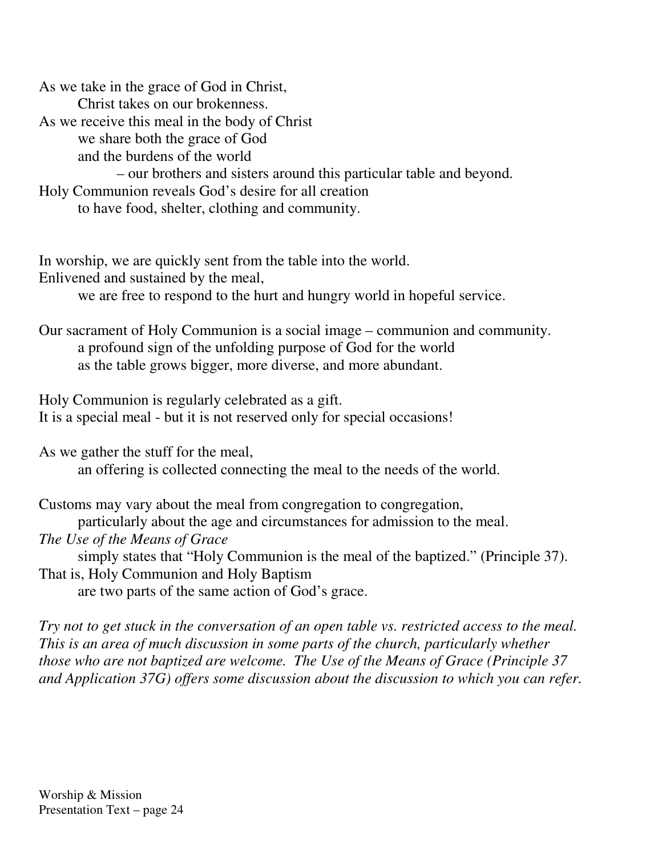As we take in the grace of God in Christ, Christ takes on our brokenness. As we receive this meal in the body of Christ we share both the grace of God and the burdens of the world – our brothers and sisters around this particular table and beyond. Holy Communion reveals God's desire for all creation to have food, shelter, clothing and community.

In worship, we are quickly sent from the table into the world. Enlivened and sustained by the meal,

we are free to respond to the hurt and hungry world in hopeful service.

Our sacrament of Holy Communion is a social image – communion and community. a profound sign of the unfolding purpose of God for the world as the table grows bigger, more diverse, and more abundant.

Holy Communion is regularly celebrated as a gift. It is a special meal - but it is not reserved only for special occasions!

As we gather the stuff for the meal, an offering is collected connecting the meal to the needs of the world.

Customs may vary about the meal from congregation to congregation, particularly about the age and circumstances for admission to the meal.

*The Use of the Means of Grace*

simply states that "Holy Communion is the meal of the baptized." (Principle 37). That is, Holy Communion and Holy Baptism

are two parts of the same action of God's grace.

*Try not to get stuck in the conversation of an open table vs. restricted access to the meal. This is an area of much discussion in some parts of the church, particularly whether those who are not baptized are welcome. The Use of the Means of Grace (Principle 37 and Application 37G) offers some discussion about the discussion to which you can refer.*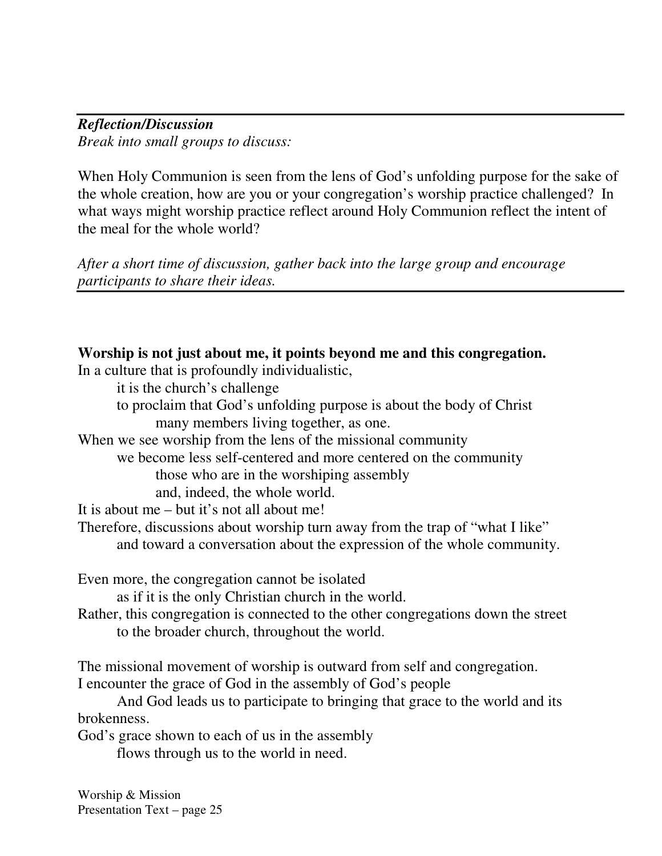*Reflection/Discussion Break into small groups to discuss:*

When Holy Communion is seen from the lens of God's unfolding purpose for the sake of the whole creation, how are you or your congregation's worship practice challenged? In what ways might worship practice reflect around Holy Communion reflect the intent of the meal for the whole world?

*After a short time of discussion, gather back into the large group and encourage participants to share their ideas.*

| Worship is not just about me, it points beyond me and this congregation.                                                                                                                                                                   |
|--------------------------------------------------------------------------------------------------------------------------------------------------------------------------------------------------------------------------------------------|
| In a culture that is profoundly individualistic,                                                                                                                                                                                           |
| it is the church's challenge                                                                                                                                                                                                               |
| to proclaim that God's unfolding purpose is about the body of Christ                                                                                                                                                                       |
| many members living together, as one.                                                                                                                                                                                                      |
| When we see worship from the lens of the missional community                                                                                                                                                                               |
| we become less self-centered and more centered on the community                                                                                                                                                                            |
| those who are in the worshiping assembly                                                                                                                                                                                                   |
| and, indeed, the whole world.                                                                                                                                                                                                              |
| It is about me $-$ but it's not all about me!                                                                                                                                                                                              |
| Therefore, discussions about worship turn away from the trap of "what I like"                                                                                                                                                              |
| and toward a conversation about the expression of the whole community.                                                                                                                                                                     |
| Even more, the congregation cannot be isolated<br>as if it is the only Christian church in the world.<br>Rather, this congregation is connected to the other congregations down the street<br>to the broader church, throughout the world. |
| The missional movement of worship is outward from self and congregation.                                                                                                                                                                   |
| I encounter the grace of God in the assembly of God's people                                                                                                                                                                               |
| And God leads us to participate to bringing that grace to the world and its                                                                                                                                                                |
| brokenness.                                                                                                                                                                                                                                |
| God's grace shown to each of us in the assembly                                                                                                                                                                                            |
| flows through us to the world in need.                                                                                                                                                                                                     |
|                                                                                                                                                                                                                                            |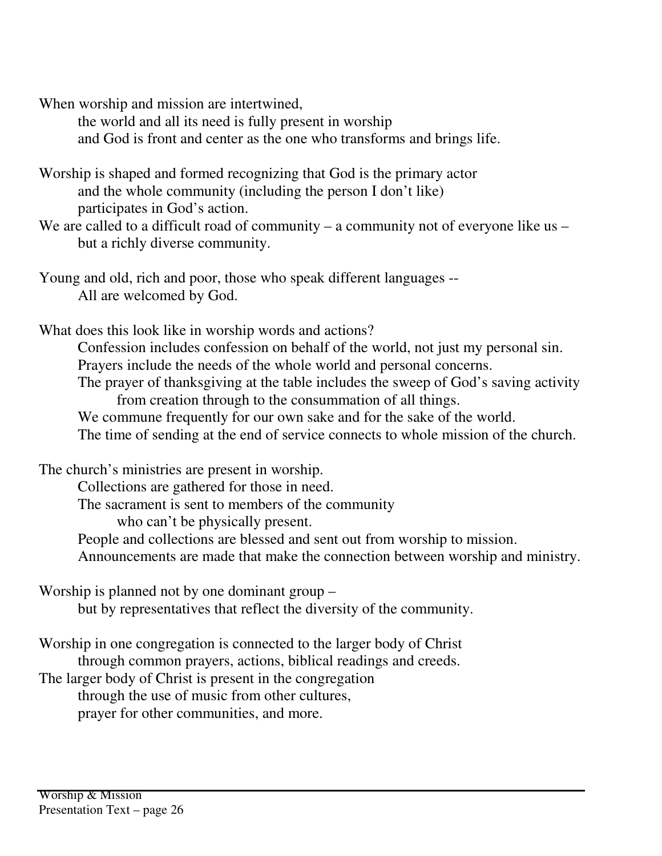When worship and mission are intertwined,

the world and all its need is fully present in worship and God is front and center as the one who transforms and brings life.

- Worship is shaped and formed recognizing that God is the primary actor and the whole community (including the person I don't like) participates in God's action.
- We are called to a difficult road of community a community not of everyone like us but a richly diverse community.
- Young and old, rich and poor, those who speak different languages -- All are welcomed by God.
- What does this look like in worship words and actions?
	- Confession includes confession on behalf of the world, not just my personal sin. Prayers include the needs of the whole world and personal concerns. The prayer of thanksgiving at the table includes the sweep of God's saving activity
		- from creation through to the consummation of all things.
		- We commune frequently for our own sake and for the sake of the world. The time of sending at the end of service connects to whole mission of the church.

The church's ministries are present in worship.

Collections are gathered for those in need.

The sacrament is sent to members of the community

who can't be physically present.

- People and collections are blessed and sent out from worship to mission.
- Announcements are made that make the connection between worship and ministry.

Worship is planned not by one dominant group –

but by representatives that reflect the diversity of the community.

Worship in one congregation is connected to the larger body of Christ through common prayers, actions, biblical readings and creeds.

The larger body of Christ is present in the congregation

through the use of music from other cultures,

prayer for other communities, and more.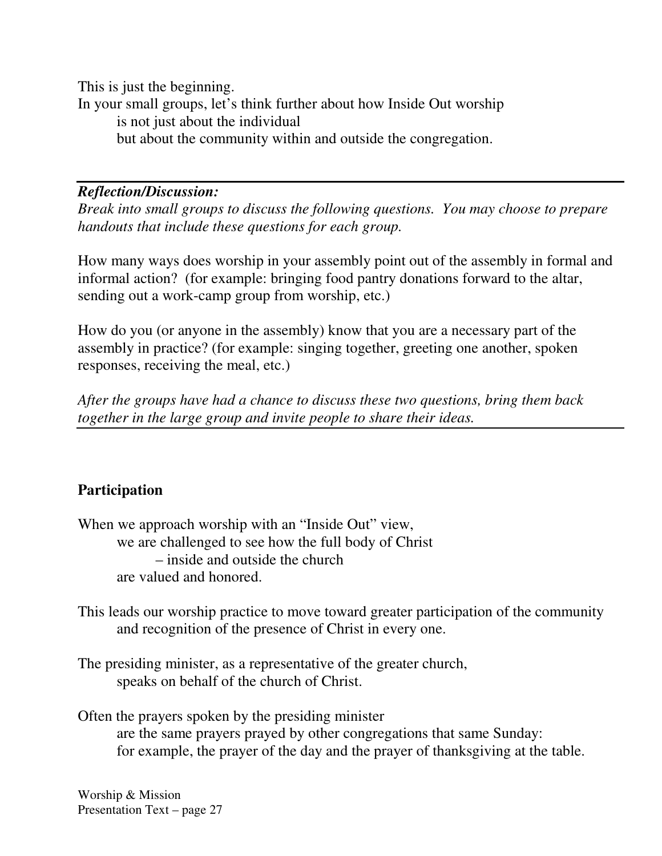This is just the beginning. In your small groups, let's think further about how Inside Out worship is not just about the individual but about the community within and outside the congregation.

#### *Reflection/Discussion:*

*Break into small groups to discuss the following questions. You may choose to prepare handouts that include these questions for each group.*

How many ways does worship in your assembly point out of the assembly in formal and informal action? (for example: bringing food pantry donations forward to the altar, sending out a work-camp group from worship, etc.)

How do you (or anyone in the assembly) know that you are a necessary part of the assembly in practice? (for example: singing together, greeting one another, spoken responses, receiving the meal, etc.)

*After the groups have had a chance to discuss these two questions, bring them back together in the large group and invite people to share their ideas.*

#### **Participation**

When we approach worship with an "Inside Out" view, we are challenged to see how the full body of Christ – inside and outside the church are valued and honored.

This leads our worship practice to move toward greater participation of the community and recognition of the presence of Christ in every one.

The presiding minister, as a representative of the greater church, speaks on behalf of the church of Christ.

Often the prayers spoken by the presiding minister are the same prayers prayed by other congregations that same Sunday: for example, the prayer of the day and the prayer of thanksgiving at the table.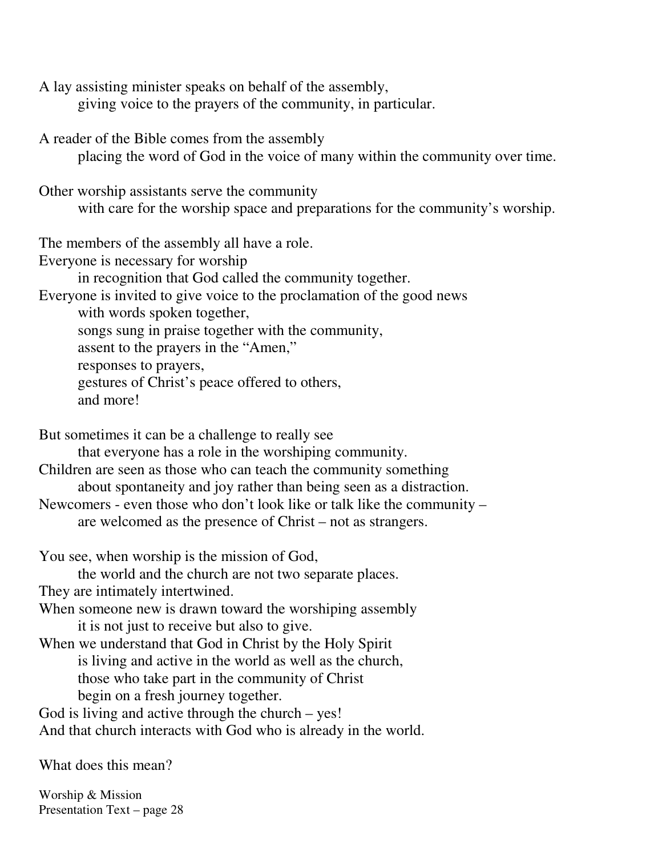A lay assisting minister speaks on behalf of the assembly,

giving voice to the prayers of the community, in particular.

A reader of the Bible comes from the assembly

placing the word of God in the voice of many within the community over time.

Other worship assistants serve the community with care for the worship space and preparations for the community's worship.

The members of the assembly all have a role.

Everyone is necessary for worship

in recognition that God called the community together.

Everyone is invited to give voice to the proclamation of the good news

with words spoken together,

songs sung in praise together with the community,

assent to the prayers in the "Amen,"

responses to prayers,

gestures of Christ's peace offered to others,

and more!

But sometimes it can be a challenge to really see that everyone has a role in the worshiping community. Children are seen as those who can teach the community something about spontaneity and joy rather than being seen as a distraction. Newcomers - even those who don't look like or talk like the community – are welcomed as the presence of Christ – not as strangers. You see, when worship is the mission of God,

the world and the church are not two separate places.

They are intimately intertwined.

When someone new is drawn toward the worshiping assembly it is not just to receive but also to give.

When we understand that God in Christ by the Holy Spirit is living and active in the world as well as the church, those who take part in the community of Christ begin on a fresh journey together.

God is living and active through the church – yes!

And that church interacts with God who is already in the world.

What does this mean?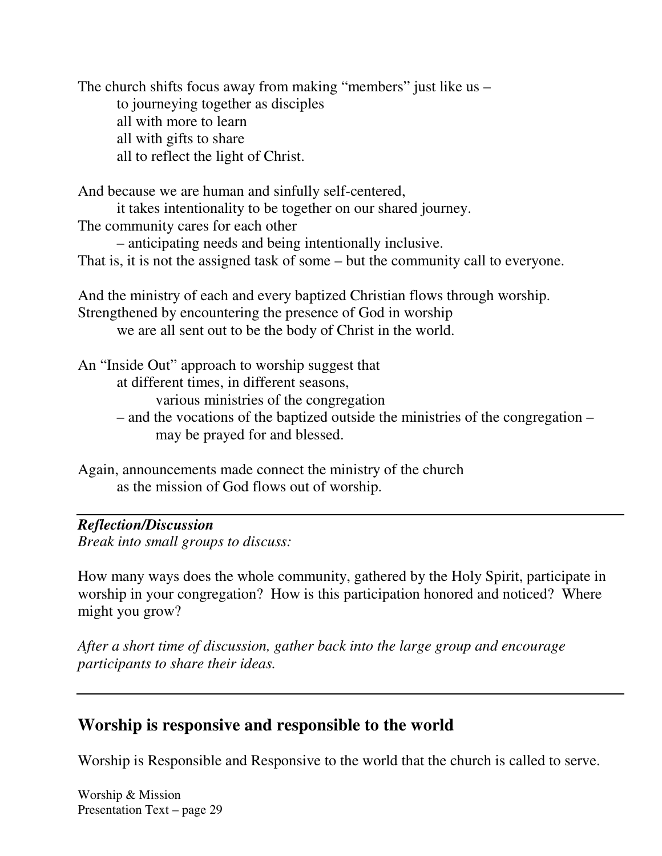The church shifts focus away from making "members" just like us – to journeying together as disciples all with more to learn all with gifts to share all to reflect the light of Christ.

And because we are human and sinfully self-centered,

it takes intentionality to be together on our shared journey.

The community cares for each other

– anticipating needs and being intentionally inclusive.

That is, it is not the assigned task of some – but the community call to everyone.

And the ministry of each and every baptized Christian flows through worship. Strengthened by encountering the presence of God in worship we are all sent out to be the body of Christ in the world.

An "Inside Out" approach to worship suggest that

at different times, in different seasons,

various ministries of the congregation

– and the vocations of the baptized outside the ministries of the congregation – may be prayed for and blessed.

Again, announcements made connect the ministry of the church as the mission of God flows out of worship.

### *Reflection/Discussion*

*Break into small groups to discuss:*

How many ways does the whole community, gathered by the Holy Spirit, participate in worship in your congregation? How is this participation honored and noticed? Where might you grow?

*After a short time of discussion, gather back into the large group and encourage participants to share their ideas.*

## **Worship is responsive and responsible to the world**

Worship is Responsible and Responsive to the world that the church is called to serve.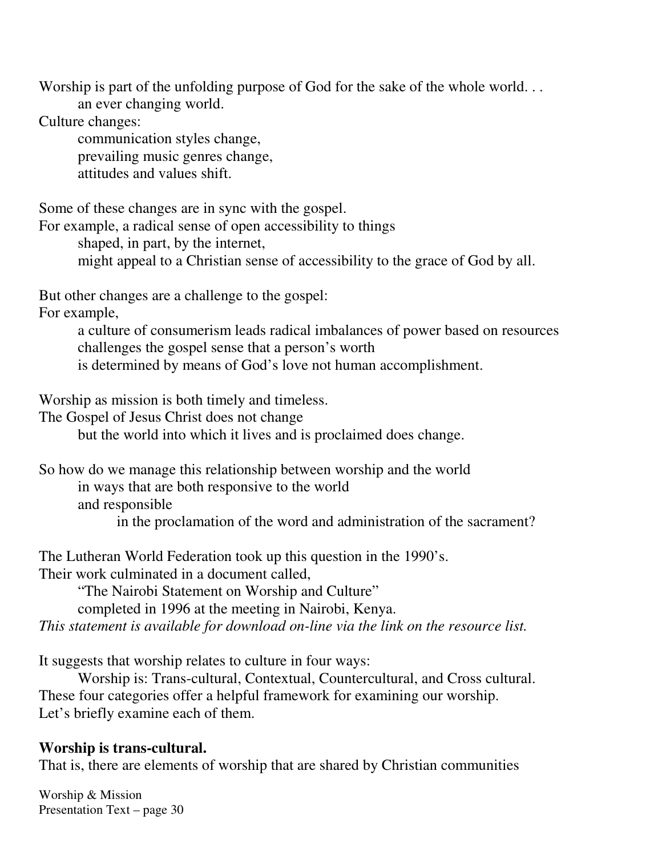Worship is part of the unfolding purpose of God for the sake of the whole world... an ever changing world.

Culture changes:

communication styles change, prevailing music genres change, attitudes and values shift.

Some of these changes are in sync with the gospel.

For example, a radical sense of open accessibility to things

shaped, in part, by the internet,

might appeal to a Christian sense of accessibility to the grace of God by all.

But other changes are a challenge to the gospel:

For example,

a culture of consumerism leads radical imbalances of power based on resources challenges the gospel sense that a person's worth is determined by means of God's love not human accomplishment.

Worship as mission is both timely and timeless.

The Gospel of Jesus Christ does not change

but the world into which it lives and is proclaimed does change.

So how do we manage this relationship between worship and the world in ways that are both responsive to the world and responsible in the proclamation of the word and administration of the sacrament?

The Lutheran World Federation took up this question in the 1990's. Their work culminated in a document called,

"The Nairobi Statement on Worship and Culture"

completed in 1996 at the meeting in Nairobi, Kenya.

*This statement is available for download on-line via the link on the resource list.*

It suggests that worship relates to culture in four ways:

Worship is: Trans-cultural, Contextual, Countercultural, and Cross cultural. These four categories offer a helpful framework for examining our worship. Let's briefly examine each of them.

## **Worship is trans-cultural.**

That is, there are elements of worship that are shared by Christian communities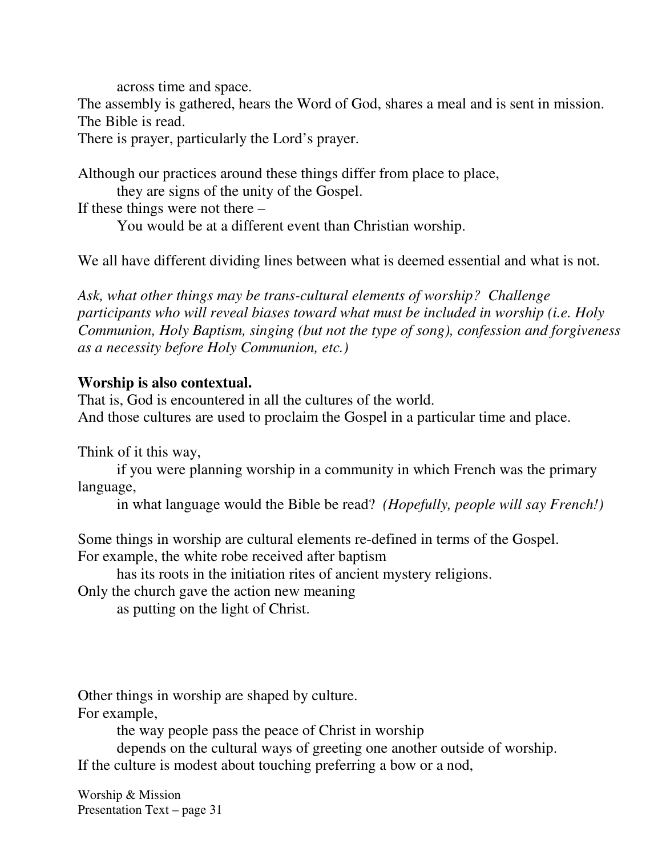across time and space.

The assembly is gathered, hears the Word of God, shares a meal and is sent in mission. The Bible is read.

There is prayer, particularly the Lord's prayer.

Although our practices around these things differ from place to place,

they are signs of the unity of the Gospel.

If these things were not there –

You would be at a different event than Christian worship.

We all have different dividing lines between what is deemed essential and what is not.

*Ask, what other things may be trans-cultural elements of worship? Challenge participants who will reveal biases toward what must be included in worship (i.e. Holy Communion, Holy Baptism, singing (but not the type of song), confession and forgiveness as a necessity before Holy Communion, etc.)*

#### **Worship is also contextual.**

That is, God is encountered in all the cultures of the world. And those cultures are used to proclaim the Gospel in a particular time and place.

Think of it this way,

if you were planning worship in a community in which French was the primary language,

in what language would the Bible be read? *(Hopefully, people will say French!)*

Some things in worship are cultural elements re-defined in terms of the Gospel. For example, the white robe received after baptism

has its roots in the initiation rites of ancient mystery religions.

Only the church gave the action new meaning

as putting on the light of Christ.

Other things in worship are shaped by culture.

For example,

the way people pass the peace of Christ in worship

depends on the cultural ways of greeting one another outside of worship. If the culture is modest about touching preferring a bow or a nod,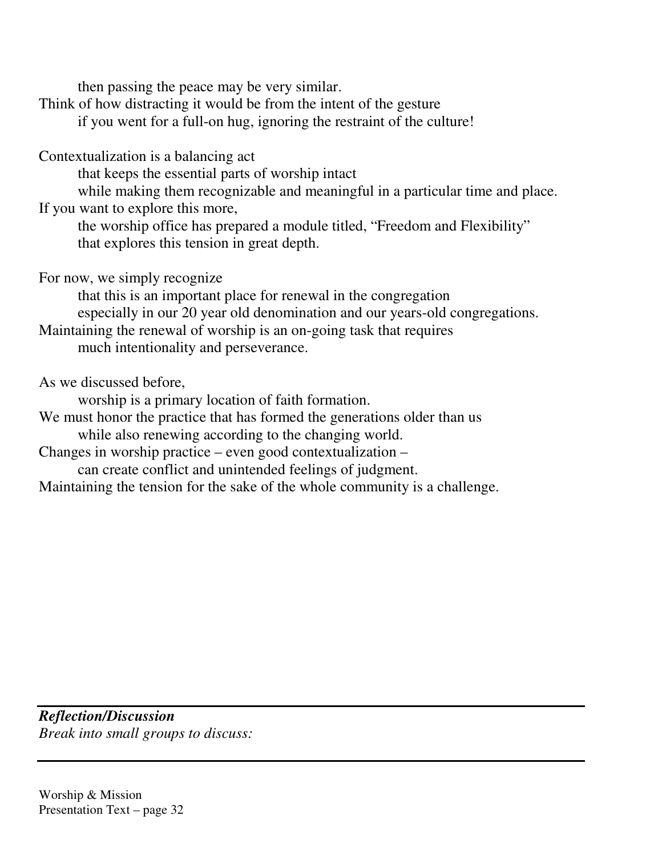then passing the peace may be very similar.

Think of how distracting it would be from the intent of the gesture

if you went for a full-on hug, ignoring the restraint of the culture!

Contextualization is a balancing act

that keeps the essential parts of worship intact

while making them recognizable and meaningful in a particular time and place. If you want to explore this more,

the worship office has prepared a module titled, "Freedom and Flexibility" that explores this tension in great depth.

For now, we simply recognize

that this is an important place for renewal in the congregation especially in our 20 year old denomination and our years-old congregations.

Maintaining the renewal of worship is an on-going task that requires

much intentionality and perseverance.

As we discussed before,

worship is a primary location of faith formation.

We must honor the practice that has formed the generations older than us while also renewing according to the changing world.

Changes in worship practice – even good contextualization –

can create conflict and unintended feelings of judgment.

Maintaining the tension for the sake of the whole community is a challenge.

*Reflection/Discussion Break into small groups to discuss:*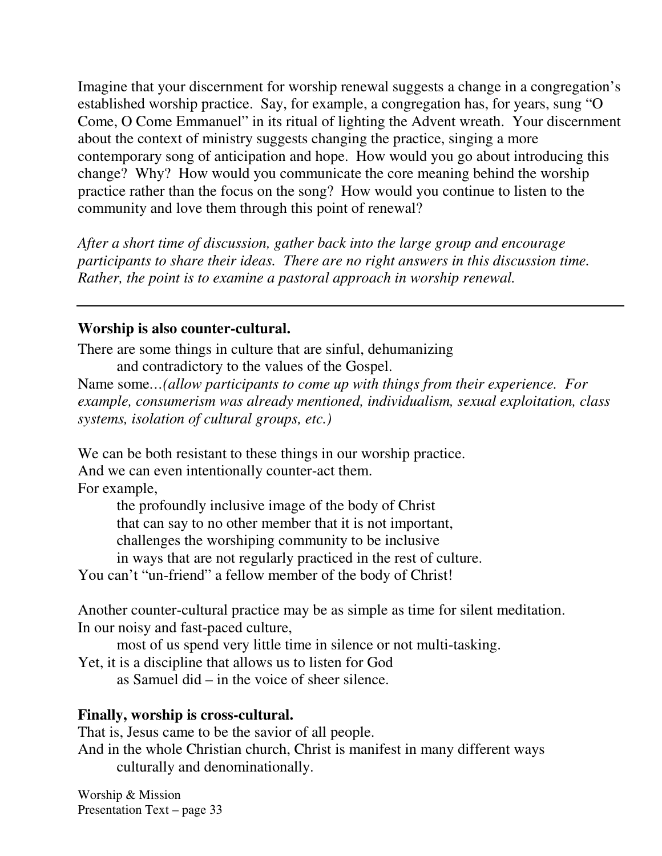Imagine that your discernment for worship renewal suggests a change in a congregation's established worship practice. Say, for example, a congregation has, for years, sung "O Come, O Come Emmanuel" in its ritual of lighting the Advent wreath. Your discernment about the context of ministry suggests changing the practice, singing a more contemporary song of anticipation and hope. How would you go about introducing this change? Why? How would you communicate the core meaning behind the worship practice rather than the focus on the song? How would you continue to listen to the community and love them through this point of renewal?

*After a short time of discussion, gather back into the large group and encourage participants to share their ideas. There are no right answers in this discussion time. Rather, the point is to examine a pastoral approach in worship renewal.*

#### **Worship is also counter-cultural.**

There are some things in culture that are sinful, dehumanizing and contradictory to the values of the Gospel.

Name some*…(allow participants to come up with things from their experience. For example, consumerism was already mentioned, individualism, sexual exploitation, class systems, isolation of cultural groups, etc.)*

We can be both resistant to these things in our worship practice. And we can even intentionally counter-act them.

For example,

the profoundly inclusive image of the body of Christ

that can say to no other member that it is not important,

challenges the worshiping community to be inclusive

in ways that are not regularly practiced in the rest of culture.

You can't "un-friend" a fellow member of the body of Christ!

Another counter-cultural practice may be as simple as time for silent meditation. In our noisy and fast-paced culture,

most of us spend very little time in silence or not multi-tasking.

Yet, it is a discipline that allows us to listen for God

as Samuel did – in the voice of sheer silence.

#### **Finally, worship is cross-cultural.**

That is, Jesus came to be the savior of all people.

And in the whole Christian church, Christ is manifest in many different ways culturally and denominationally.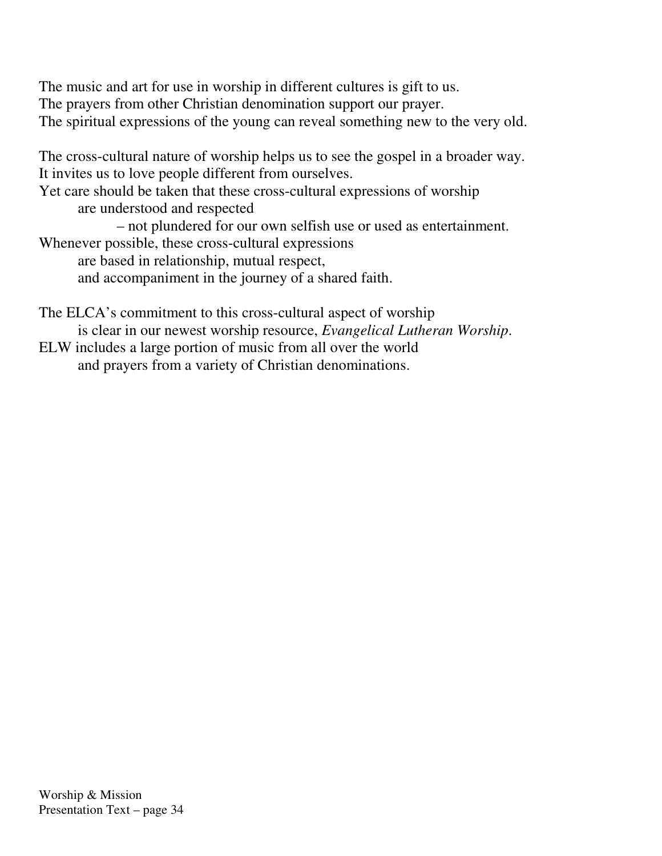The music and art for use in worship in different cultures is gift to us. The prayers from other Christian denomination support our prayer. The spiritual expressions of the young can reveal something new to the very old.

The cross-cultural nature of worship helps us to see the gospel in a broader way. It invites us to love people different from ourselves.

Yet care should be taken that these cross-cultural expressions of worship are understood and respected

– not plundered for our own selfish use or used as entertainment.

Whenever possible, these cross-cultural expressions

are based in relationship, mutual respect,

and accompaniment in the journey of a shared faith.

The ELCA's commitment to this cross-cultural aspect of worship is clear in our newest worship resource, *Evangelical Lutheran Worship*. ELW includes a large portion of music from all over the world

and prayers from a variety of Christian denominations.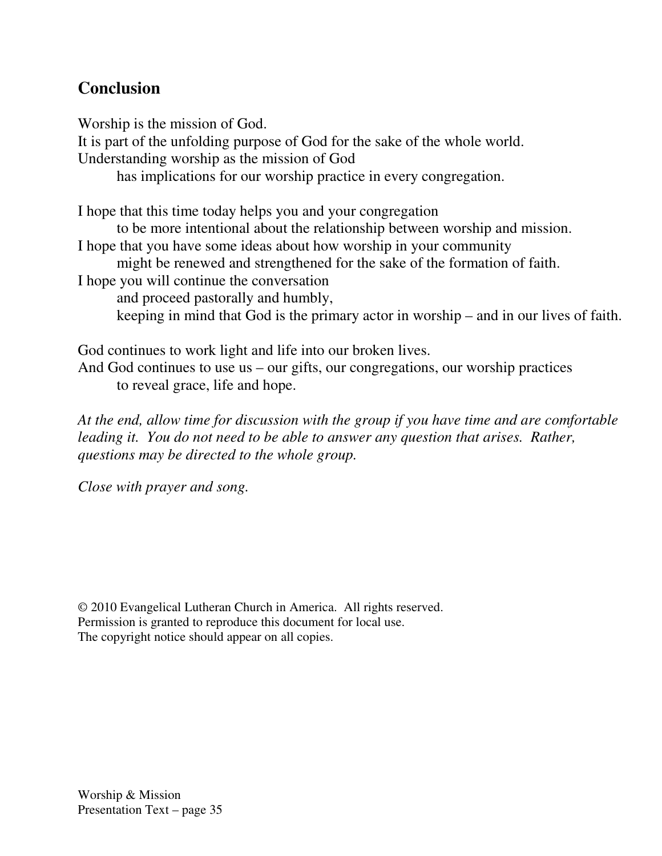## **Conclusion**

Worship is the mission of God. It is part of the unfolding purpose of God for the sake of the whole world. Understanding worship as the mission of God has implications for our worship practice in every congregation. I hope that this time today helps you and your congregation to be more intentional about the relationship between worship and mission. I hope that you have some ideas about how worship in your community might be renewed and strengthened for the sake of the formation of faith. I hope you will continue the conversation and proceed pastorally and humbly,

keeping in mind that God is the primary actor in worship – and in our lives of faith.

God continues to work light and life into our broken lives. And God continues to use us – our gifts, our congregations, our worship practices to reveal grace, life and hope.

*At the end, allow time for discussion with the group if you have time and are comfortable leading it. You do not need to be able to answer any question that arises. Rather, questions may be directed to the whole group.*

*Close with prayer and song.*

*©* 2010 Evangelical Lutheran Church in America. All rights reserved. Permission is granted to reproduce this document for local use. The copyright notice should appear on all copies.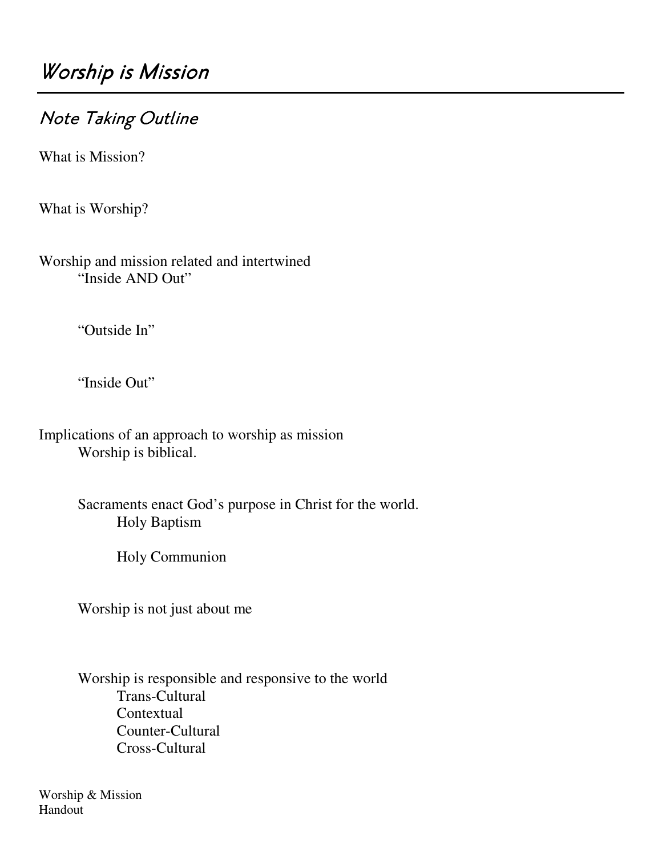# Note Taking Outline

What is Mission?

What is Worship?

Worship and mission related and intertwined "Inside AND Out"

"Outside In"

"Inside Out"

Implications of an approach to worship as mission Worship is biblical.

> Sacraments enact God's purpose in Christ for the world. Holy Baptism

> > Holy Communion

Worship is not just about me

Worship is responsible and responsive to the world Trans-Cultural **Contextual** Counter-Cultural Cross-Cultural